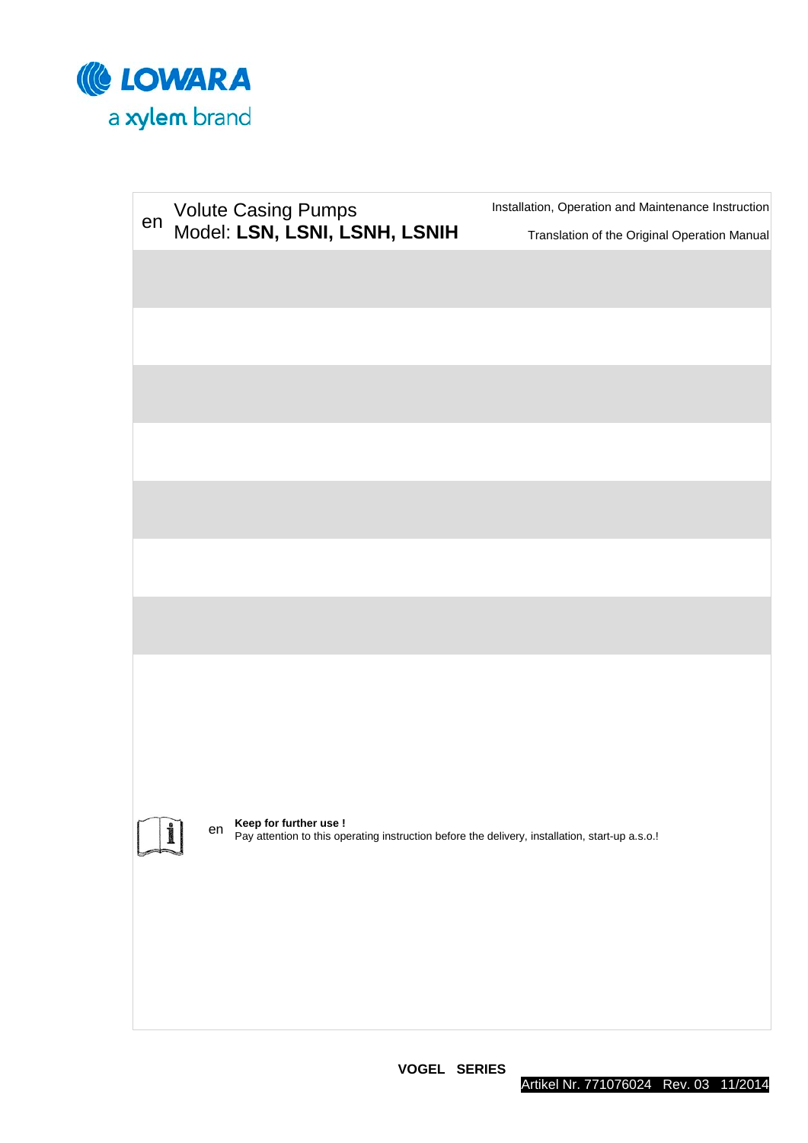

| en |    | <b>Volute Casing Pumps</b><br>Model: LSN, LSNI, LSNH, LSNIH | Installation, Operation and Maintenance Instruction<br>Translation of the Original Operation Manual |
|----|----|-------------------------------------------------------------|-----------------------------------------------------------------------------------------------------|
|    |    |                                                             |                                                                                                     |
|    |    |                                                             |                                                                                                     |
|    |    |                                                             |                                                                                                     |
|    |    |                                                             |                                                                                                     |
|    |    |                                                             |                                                                                                     |
|    |    |                                                             |                                                                                                     |
|    |    |                                                             |                                                                                                     |
|    |    |                                                             |                                                                                                     |
|    | en | Keep for further use !                                      | Pay attention to this operating instruction before the delivery, installation, start-up a.s.o.!     |
|    |    |                                                             |                                                                                                     |

**VOGEL SERIES**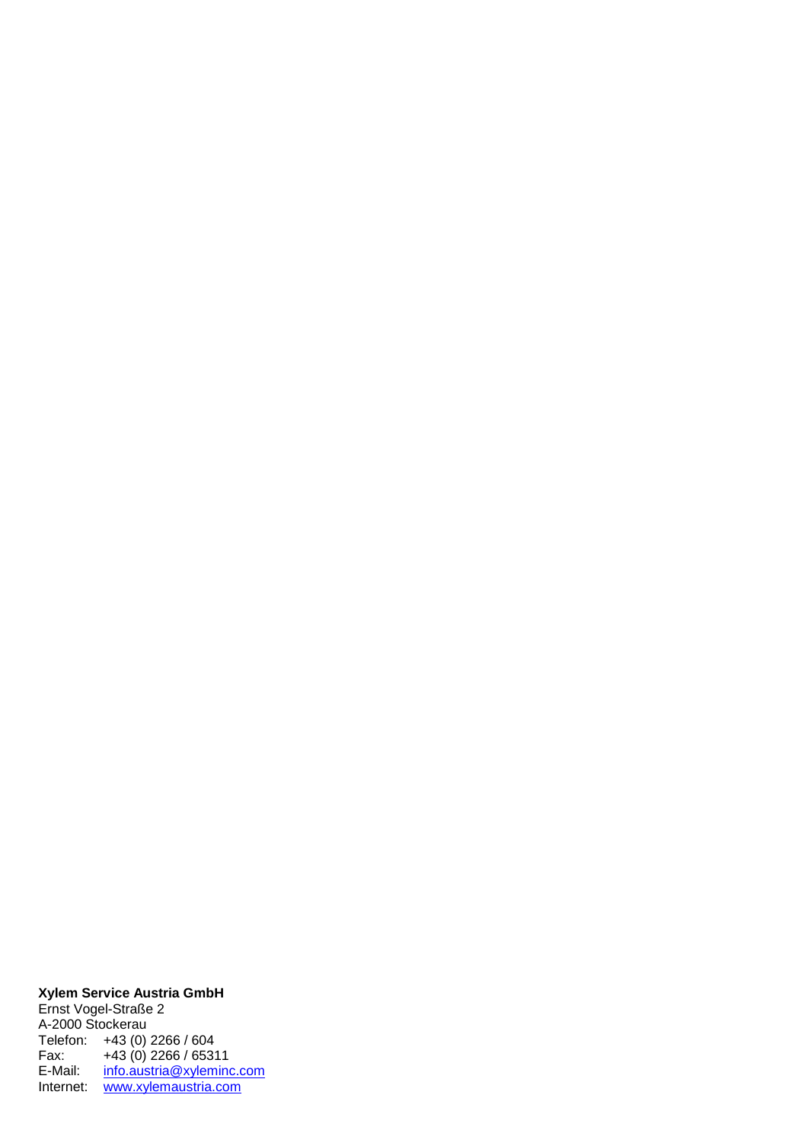#### **Xylem Service Austria GmbH**

Ernst Vogel-Straße 2 A-2000 Stockerau Telefon: +43 (0) 2266 / 604 Fax: +43 (0) 2266 / 65311 E-Mail: <u>[info.austria@xyleminc.com](mailto:info.austria@xyleminc.com)</u> Internet: [www.xylemaustria.com](http://www.xylemaustria.com/)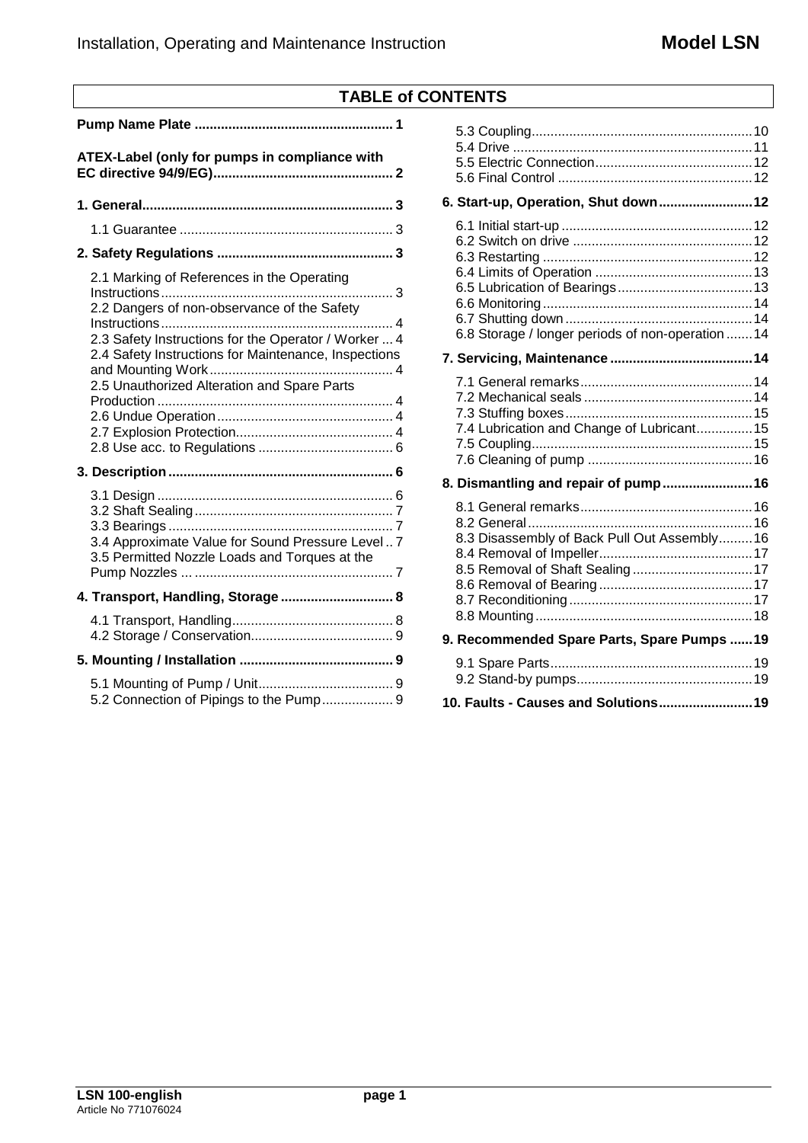| <b>TABLE of CONTENTS</b> |  |
|--------------------------|--|
|--------------------------|--|

| ATEX-Label (only for pumps in compliance with                                                                                                                                                                                                            |  |  |  |  |  |  |
|----------------------------------------------------------------------------------------------------------------------------------------------------------------------------------------------------------------------------------------------------------|--|--|--|--|--|--|
|                                                                                                                                                                                                                                                          |  |  |  |  |  |  |
|                                                                                                                                                                                                                                                          |  |  |  |  |  |  |
|                                                                                                                                                                                                                                                          |  |  |  |  |  |  |
| 2.1 Marking of References in the Operating<br>2.2 Dangers of non-observance of the Safety<br>2.3 Safety Instructions for the Operator / Worker  4<br>2.4 Safety Instructions for Maintenance, Inspections<br>2.5 Unauthorized Alteration and Spare Parts |  |  |  |  |  |  |
|                                                                                                                                                                                                                                                          |  |  |  |  |  |  |
| 3.4 Approximate Value for Sound Pressure Level 7<br>3.5 Permitted Nozzle Loads and Torques at the                                                                                                                                                        |  |  |  |  |  |  |
| 4. Transport, Handling, Storage  8                                                                                                                                                                                                                       |  |  |  |  |  |  |
|                                                                                                                                                                                                                                                          |  |  |  |  |  |  |
|                                                                                                                                                                                                                                                          |  |  |  |  |  |  |
| 5.2 Connection of Pipings to the Pump 9                                                                                                                                                                                                                  |  |  |  |  |  |  |

| 6. Start-up, Operation, Shut down 12              |  |
|---------------------------------------------------|--|
| 6.8 Storage / longer periods of non-operation  14 |  |
|                                                   |  |
| 7.4 Lubrication and Change of Lubricant 15        |  |
| 8. Dismantling and repair of pump16               |  |
| 8.3 Disassembly of Back Pull Out Assembly 16      |  |
| 9. Recommended Spare Parts, Spare Pumps  19       |  |
|                                                   |  |
| 10. Faults - Causes and Solutions 19              |  |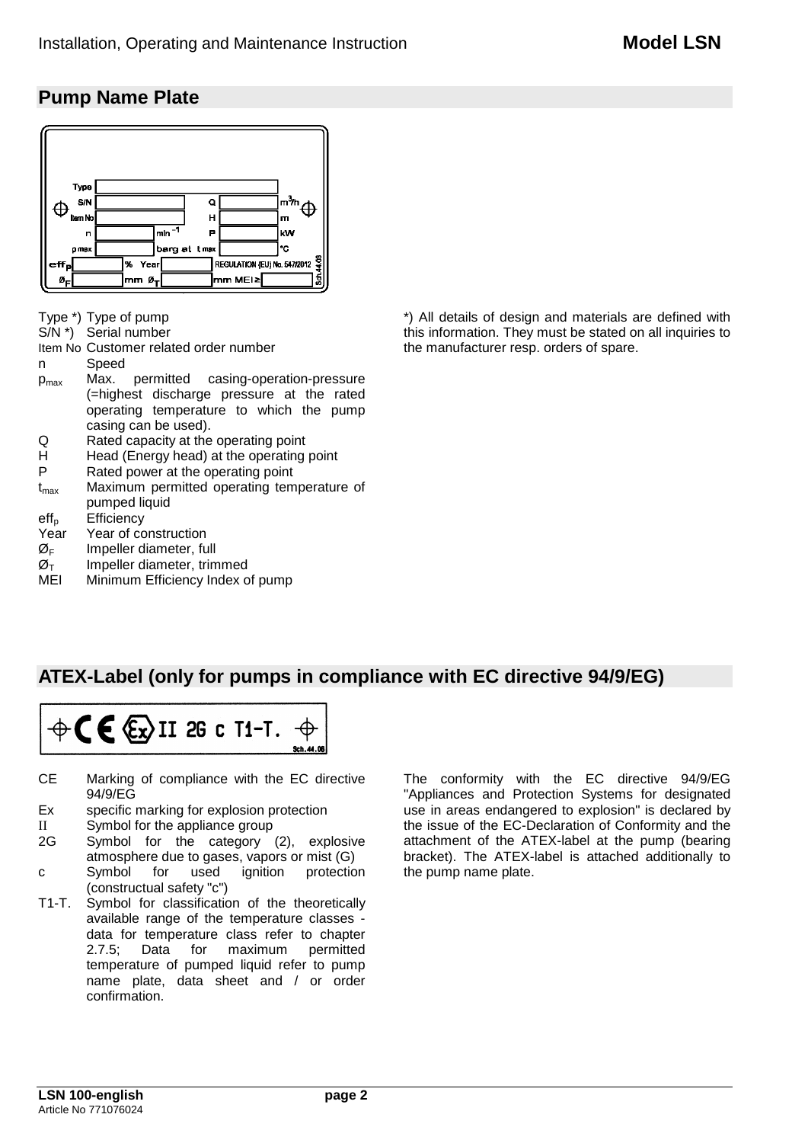# **Pump Name Plate**



Type \*) Type of pump

S/N \*) Serial number

Item No Customer related order number

- n Speed
- pmax Max. permitted casing-operation-pressure (=highest discharge pressure at the rated operating temperature to which the pump casing can be used).
- Q Rated capacity at the operating point<br>H Head (Energy head) at the operating
- H Head (Energy head) at the operating point<br>P Rated power at the operating point
- P Rated power at the operating point  $t_{\text{max}}$  Maximum permitted operating tem
- Maximum permitted operating temperature of pumped liquid
- $eff<sub>p</sub>$  [Efficiency](http://www.dict.cc/englisch-deutsch/efficiency.html)<br>Year Year of co
- Year Year of construction<br> $\varnothing$ <sub>F</sub> Impeller diameter. fu
- $\varnothing$ <sub>F</sub> Impeller diameter, full<br> $\varnothing$ <sub>T</sub> Impeller diameter, trim
- $\varnothing_{\text{T}}$  Impeller diameter, trimmed<br>MEI Minimum Efficiency Index o
- Minimum Efficiency Index of pump

\*) All details of design and materials are defined with this information. They must be stated on all inquiries to the manufacturer resp. orders of spare.

# **ATEX-Label (only for pumps in compliance with EC directive 94/9/EG)**



- CE Marking of compliance with the EC directive 94/9/EG
- Ex specific marking for explosion protection
- II Symbol for the appliance group<br>2G Symbol for the category
- Symbol for the category (2), explosive atmosphere due to gases, vapors or mist (G) c Symbol for used ignition protection (constructual safety "c")
- T1-T. Symbol for classification of the theoretically available range of the temperature classes data for temperature class refer to chapter<br>2.7.5; Data for maximum permitted 2.7.5; Data for maximum permitted temperature of pumped liquid refer to pump name plate, data sheet and / or order confirmation.

The conformity with the EC directive 94/9/EG "Appliances and Protection Systems for designated use in areas endangered to explosion" is declared by the issue of the EC-Declaration of Conformity and the attachment of the ATEX-label at the pump (bearing bracket). The ATEX-label is attached additionally to the pump name plate.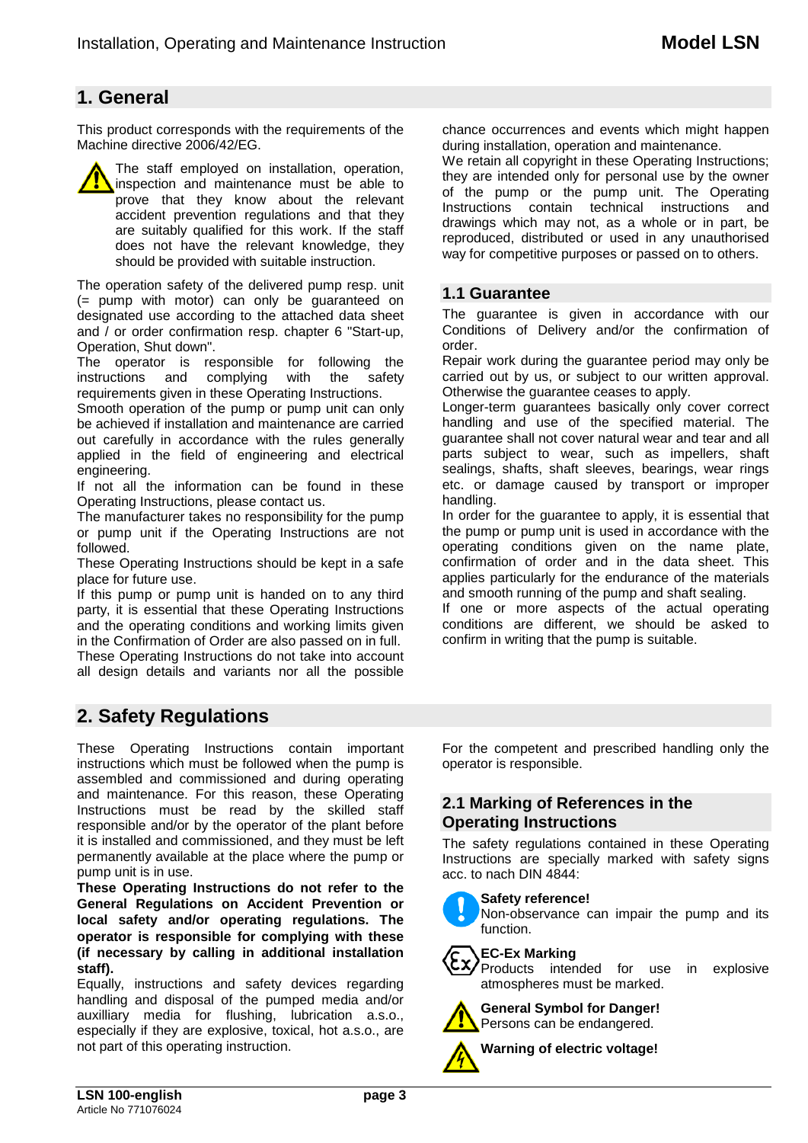# **1. General**

This product corresponds with the requirements of the Machine directive 2006/42/EG.

The staff employed on installation, operation, inspection and maintenance must be able to prove that they know about the relevant accident prevention regulations and that they are suitably qualified for this work. If the staff does not have the relevant knowledge, they should be provided with suitable instruction.

The operation safety of the delivered pump resp. unit (= pump with motor) can only be guaranteed on designated use according to the attached data sheet and / or order confirmation resp. chapter 6 "Start-up, Operation, Shut down".

The operator is responsible for following the instructions and complying with the safety instructions and requirements given in these Operating Instructions.

Smooth operation of the pump or pump unit can only be achieved if installation and maintenance are carried out carefully in accordance with the rules generally applied in the field of engineering and electrical engineering.

If not all the information can be found in these Operating Instructions, please contact us.

The manufacturer takes no responsibility for the pump or pump unit if the Operating Instructions are not followed.

These Operating Instructions should be kept in a safe place for future use.

If this pump or pump unit is handed on to any third party, it is essential that these Operating Instructions and the operating conditions and working limits given in the Confirmation of Order are also passed on in full. These Operating Instructions do not take into account all design details and variants nor all the possible

chance occurrences and events which might happen during installation, operation and maintenance.

We retain all copyright in these Operating Instructions; they are intended only for personal use by the owner of the pump or the pump unit. The Operating Instructions contain technical instructions and drawings which may not, as a whole or in part, be reproduced, distributed or used in any unauthorised way for competitive purposes or passed on to others.

## **1.1 Guarantee**

The guarantee is given in accordance with our Conditions of Delivery and/or the confirmation of order.

Repair work during the guarantee period may only be carried out by us, or subject to our written approval. Otherwise the guarantee ceases to apply.

Longer-term guarantees basically only cover correct handling and use of the specified material. The guarantee shall not cover natural wear and tear and all parts subject to wear, such as impellers, shaft sealings, shafts, shaft sleeves, bearings, wear rings etc. or damage caused by transport or improper handling.

In order for the guarantee to apply, it is essential that the pump or pump unit is used in accordance with the operating conditions given on the name plate, confirmation of order and in the data sheet. This applies particularly for the endurance of the materials and smooth running of the pump and shaft sealing.

If one or more aspects of the actual operating conditions are different, we should be asked to confirm in writing that the pump is suitable.

# **2. Safety Regulations**

These Operating Instructions contain important instructions which must be followed when the pump is assembled and commissioned and during operating and maintenance. For this reason, these Operating Instructions must be read by the skilled staff responsible and/or by the operator of the plant before it is installed and commissioned, and they must be left permanently available at the place where the pump or pump unit is in use.

**These Operating Instructions do not refer to the General Regulations on Accident Prevention or local safety and/or operating regulations. The operator is responsible for complying with these (if necessary by calling in additional installation staff).**

Equally, instructions and safety devices regarding handling and disposal of the pumped media and/or auxilliary media for flushing, lubrication a.s.o., especially if they are explosive, toxical, hot a.s.o., are not part of this operating instruction.

For the competent and prescribed handling only the operator is responsible.

## **2.1 Marking of References in the Operating Instructions**

The safety regulations contained in these Operating Instructions are specially marked with safety signs acc. to nach DIN 4844:



#### **Safety reference!**

Non-observance can impair the pump and its function.

## **EC-Ex Marking**

Products intended for use in explosive atmospheres must be marked.



**General Symbol for Danger!** Persons can be endangered.

**Warning of electric voltage!**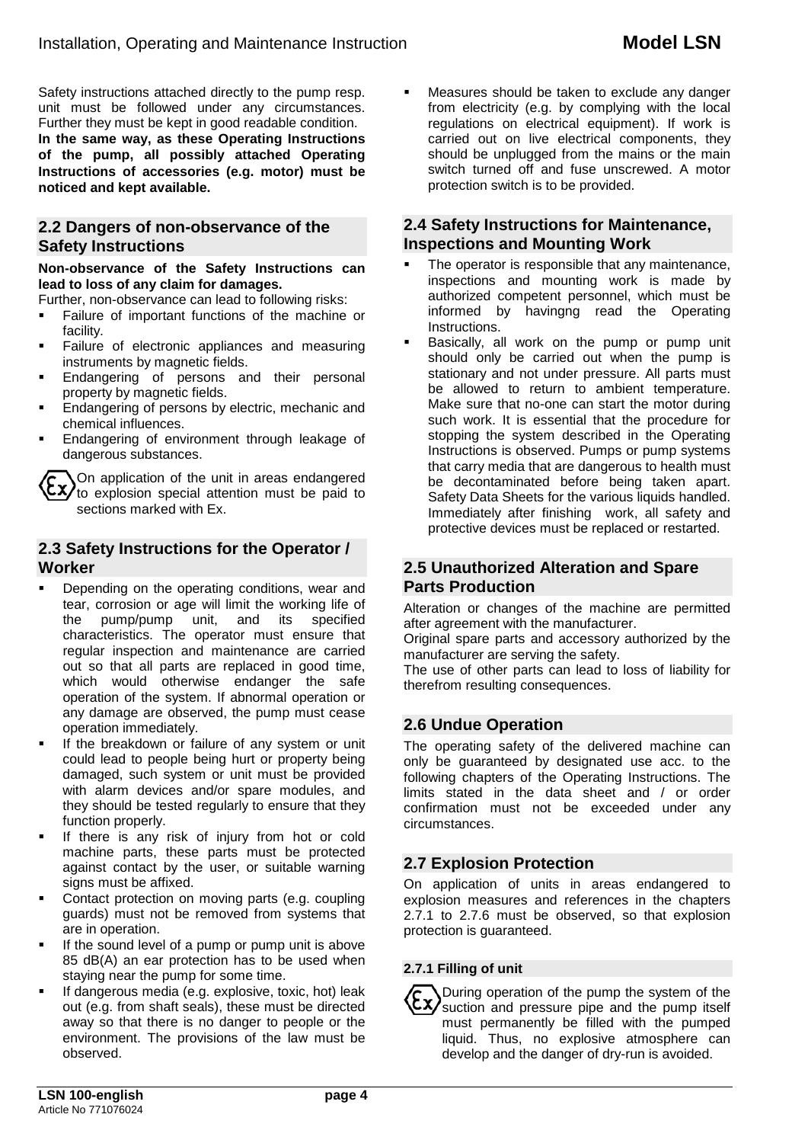Safety instructions attached directly to the pump resp. unit must be followed under any circumstances. Further they must be kept in good readable condition. **In the same way, as these Operating Instructions of the pump, all possibly attached Operating Instructions of accessories (e.g. motor) must be noticed and kept available.**

## **2.2 Dangers of non-observance of the Safety Instructions**

#### **Non-observance of the Safety Instructions can lead to loss of any claim for damages.**

Further, non-observance can lead to following risks:

- Failure of important functions of the machine or facility.
- Failure of electronic appliances and measuring instruments by magnetic fields.
- Endangering of persons and their personal property by magnetic fields.
- Endangering of persons by electric, mechanic and chemical influences.
- Endangering of environment through leakage of dangerous substances.

On application of the unit in areas endangered  $\sum_{\text{to}}$   $\sum_{\text{to}}$  explosion special attention must be paid to sections marked with Ex.

## **2.3 Safety Instructions for the Operator / Worker**

- Depending on the operating conditions, wear and tear, corrosion or age will limit the working life of<br>the pump/pump unit, and its specified the pump/pump unit, characteristics. The operator must ensure that regular inspection and maintenance are carried out so that all parts are replaced in good time, which would otherwise endanger the safe operation of the system. If abnormal operation or any damage are observed, the pump must cease operation immediately.
- If the breakdown or failure of any system or unit could lead to people being hurt or property being damaged, such system or unit must be provided with alarm devices and/or spare modules, and they should be tested regularly to ensure that they function properly.
- If there is any risk of injury from hot or cold machine parts, these parts must be protected against contact by the user, or suitable warning signs must be affixed.
- Contact protection on moving parts (e.g. coupling guards) must not be removed from systems that are in operation.
- If the sound level of a pump or pump unit is above 85 dB(A) an ear protection has to be used when staying near the pump for some time.
- If dangerous media (e.g. explosive, toxic, hot) leak out (e.g. from shaft seals), these must be directed away so that there is no danger to people or the environment. The provisions of the law must be observed.

 Measures should be taken to exclude any danger from electricity (e.g. by complying with the local regulations on electrical equipment). If work is carried out on live electrical components, they should be unplugged from the mains or the main switch turned off and fuse unscrewed. A motor protection switch is to be provided.

## **2.4 Safety Instructions for Maintenance, Inspections and Mounting Work**

- The operator is responsible that any maintenance, inspections and mounting work is made by authorized competent personnel, which must be informed by havingng read the Operating Instructions.
- Basically, all work on the pump or pump unit should only be carried out when the pump is stationary and not under pressure. All parts must be allowed to return to ambient temperature. Make sure that no-one can start the motor during such work. It is essential that the procedure for stopping the system described in the Operating Instructions is observed. Pumps or pump systems that carry media that are dangerous to health must be decontaminated before being taken apart. Safety Data Sheets for the various liquids handled. Immediately after finishing work, all safety and protective devices must be replaced or restarted.

## **2.5 Unauthorized Alteration and Spare Parts Production**

Alteration or changes of the machine are permitted after agreement with the manufacturer.

Original spare parts and accessory authorized by the manufacturer are serving the safety.

The use of other parts can lead to loss of liability for therefrom resulting consequences.

## **2.6 Undue Operation**

The operating safety of the delivered machine can only be guaranteed by designated use acc. to the following chapters of the Operating Instructions. The limits stated in the data sheet and / or order confirmation must not be exceeded under any circumstances.

## **2.7 Explosion Protection**

On application of units in areas endangered to explosion measures and references in the chapters 2.7.1 to 2.7.6 must be observed, so that explosion protection is guaranteed.

#### **2.7.1 Filling of unit**

During operation of the pump the system of the  $\mathsf{c}$  suction and pressure pipe and the pump itself must permanently be filled with the pumped liquid. Thus, no explosive atmosphere can develop and the danger of dry-run is avoided.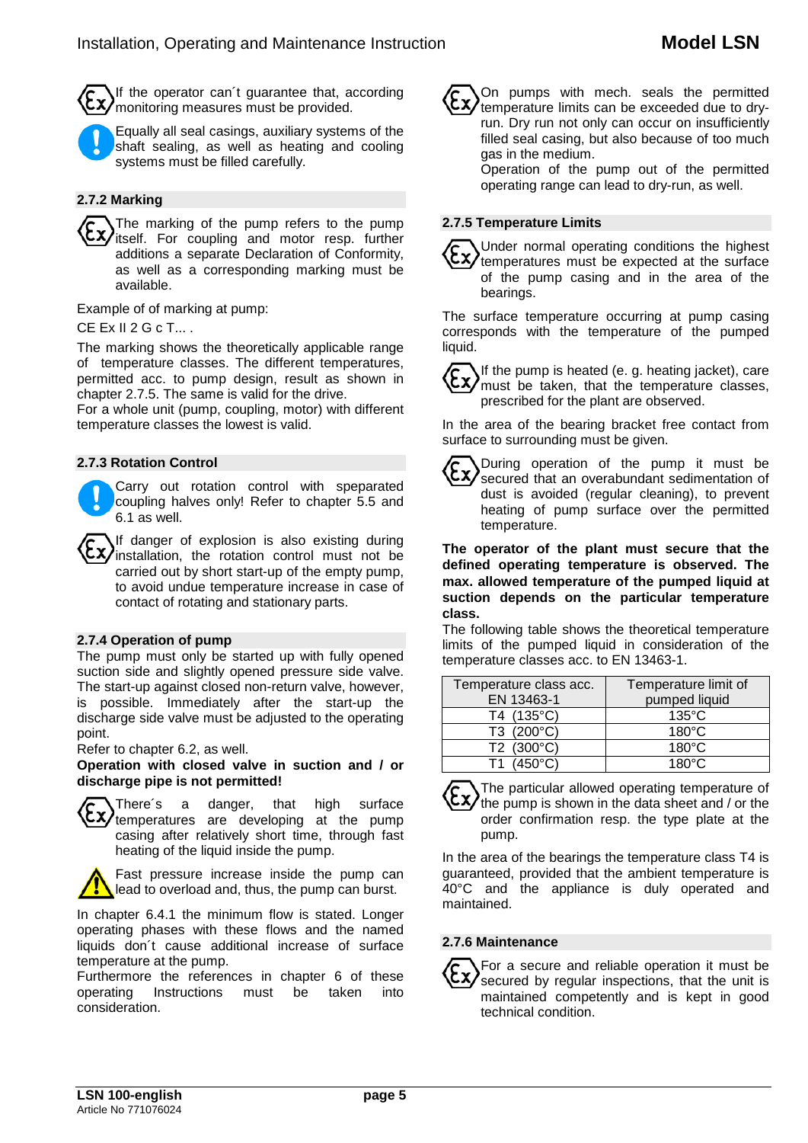If the operator can´t guarantee that, according monitoring measures must be provided.



Equally all seal casings, auxiliary systems of the shaft sealing, as well as heating and cooling systems must be filled carefully.

#### **2.7.2 Marking**

The marking of the pump refers to the pump itself. For coupling and motor resp. further additions a separate Declaration of Conformity, as well as a corresponding marking must be available.

Example of of marking at pump:

#### CE Ex II 2 G c T... .

The marking shows the theoretically applicable range of temperature classes. The different temperatures, permitted acc. to pump design, result as shown in chapter 2.7.5. The same is valid for the drive.

For a whole unit (pump, coupling, motor) with different temperature classes the lowest is valid.

#### **2.7.3 Rotation Control**

Carry out rotation control with speparated coupling halves only! Refer to chapter 5.5 and 6.1 as well.

If danger of explosion is also existing during installation, the rotation control must not be carried out by short start-up of the empty pump, to avoid undue temperature increase in case of contact of rotating and stationary parts.

#### **2.7.4 Operation of pump**

The pump must only be started up with fully opened suction side and slightly opened pressure side valve. The start-up against closed non-return valve, however, is possible. Immediately after the start-up the discharge side valve must be adjusted to the operating point.

Refer to chapter 6.2, as well.

**Operation with closed valve in suction and / or discharge pipe is not permitted!**



There´s a danger, that high surface temperatures are developing at the pump casing after relatively short time, through fast heating of the liquid inside the pump.

Fast pressure increase inside the pump can lead to overload and, thus, the pump can burst.

In chapter 6.4.1 the minimum flow is stated. Longer operating phases with these flows and the named liquids don´t cause additional increase of surface temperature at the pump.

Furthermore the references in chapter 6 of these<br>operating lnstructions must be taken into operating Instructions must be consideration.

On pumps with mech. seals the permitted temperature limits can be exceeded due to dryrun. Dry run not only can occur on insufficiently filled seal casing, but also because of too much gas in the medium.

Operation of the pump out of the permitted operating range can lead to dry-run, as well.

#### **2.7.5 Temperature Limits**



Under normal operating conditions the highest  $\frac{c}{x}$  temperatures must be expected at the surface of the pump casing and in the area of the bearings.

The surface temperature occurring at pump casing corresponds with the temperature of the pumped liquid.

If the pump is heated (e. g. heating jacket), care  $\sum_{m}$  with purify is rictive  $\sum_{n}$  of temperature classes, prescribed for the plant are observed.

In the area of the bearing bracket free contact from surface to surrounding must be given.



**The operator of the plant must secure that the defined operating temperature is observed. The max. allowed temperature of the pumped liquid at suction depends on the particular temperature class.**

The following table shows the theoretical temperature limits of the pumped liquid in consideration of the temperature classes acc. to EN 13463-1.

| Temperature class acc.<br>EN 13463-1 | Temperature limit of<br>pumped liquid |
|--------------------------------------|---------------------------------------|
| T4 (135°C)                           | $135^{\circ}$ C                       |
| T3 (200°C)                           | $180^{\circ}$ C                       |
| T2 (300°C)                           | $180^{\circ}$ C                       |
| (450°C)                              | $180^\circ C$                         |

The particular allowed operating temperature of the pump is shown in the data sheet and / or the order confirmation resp. the type plate at the pump.

In the area of the bearings the temperature class T4 is guaranteed, provided that the ambient temperature is 40°C and the appliance is duly operated and maintained.

#### **2.7.6 Maintenance**

For a secure and reliable operation it must be secured by regular inspections, that the unit is maintained competently and is kept in good technical condition.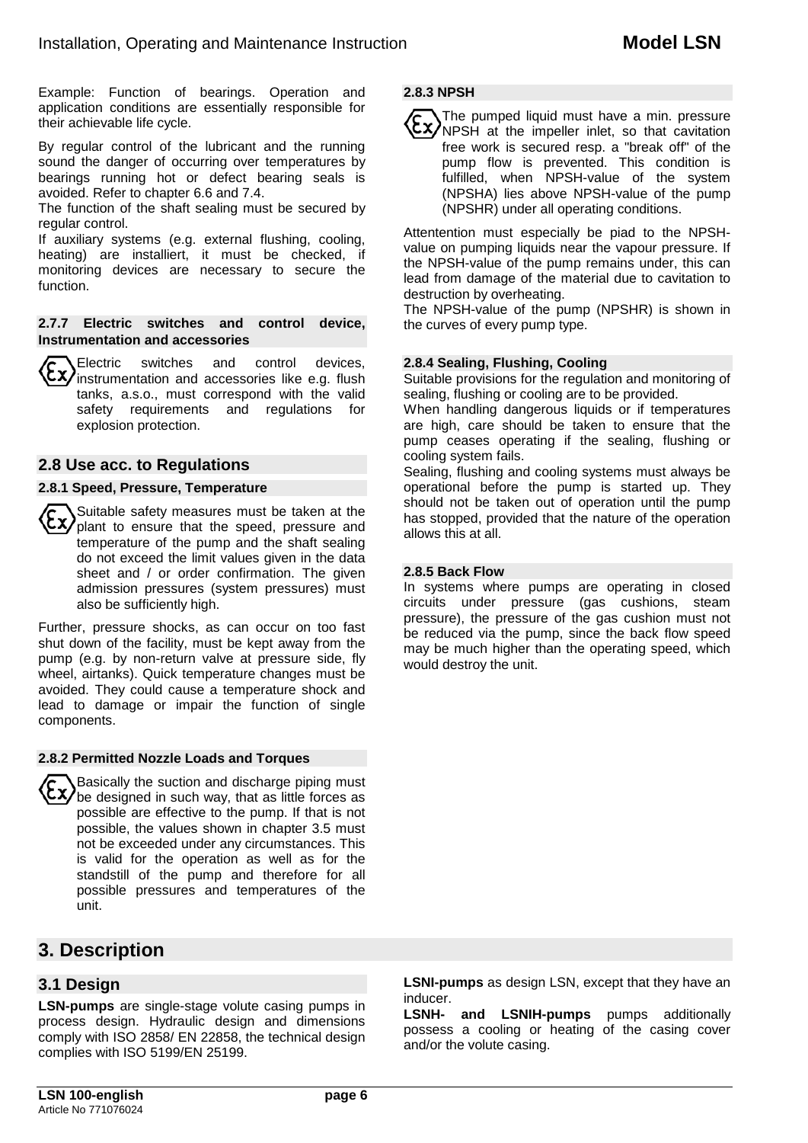Example: Function of bearings. Operation and application conditions are essentially responsible for their achievable life cycle.

By regular control of the lubricant and the running sound the danger of occurring over temperatures by bearings running hot or defect bearing seals is avoided. Refer to chapter 6.6 and 7.4.

The function of the shaft sealing must be secured by regular control.

If auxiliary systems (e.g. external flushing, cooling, heating) are installiert, it must be checked, if monitoring devices are necessary to secure the function.

#### **2.7.7 Electric switches and control device, Instrumentation and accessories**

Electric switches and control devices,  $\overline{X}$  instrumentation and accessories like e.g. flush tanks, a.s.o., must correspond with the valid safety requirements and regulations for explosion protection.

## **2.8 Use acc. to Regulations**

#### **2.8.1 Speed, Pressure, Temperature**

Suitable safety measures must be taken at the plant to ensure that the speed, pressure and temperature of the pump and the shaft sealing do not exceed the limit values given in the data sheet and / or order confirmation. The given admission pressures (system pressures) must also be sufficiently high.

Further, pressure shocks, as can occur on too fast shut down of the facility, must be kept away from the pump (e.g. by non-return valve at pressure side, fly wheel, airtanks). Quick temperature changes must be avoided. They could cause a temperature shock and lead to damage or impair the function of single components.

#### **2.8.2 Permitted Nozzle Loads and Torques**

Basically the suction and discharge piping must  $\langle xy \rangle$  be designed in such way, that as little forces as possible are effective to the pump. If that is not possible, the values shown in chapter 3.5 must not be exceeded under any circumstances. This is valid for the operation as well as for the standstill of the pump and therefore for all possible pressures and temperatures of the unit.

# **3. Description**

## **3.1 Design**

**LSN-pumps** are single-stage volute casing pumps in process design. Hydraulic design and dimensions comply with ISO 2858/ EN 22858, the technical design complies with ISO 5199/EN 25199.

**LSNI-pumps** as design LSN, except that they have an inducer.

**LSNH- and LSNIH-pumps** pumps additionally possess a cooling or heating of the casing cover and/or the volute casing.

## **2.8.3 NPSH**

The pumped liquid must have a min. pressure NPSH at the impeller inlet, so that cavitation free work is secured resp. a "break off" of the pump flow is prevented. This condition is fulfilled, when NPSH-value of the system (NPSHA) lies above NPSH-value of the pump (NPSHR) under all operating conditions.

Attentention must especially be piad to the NPSHvalue on pumping liquids near the vapour pressure. If the NPSH-value of the pump remains under, this can lead from damage of the material due to cavitation to destruction by overheating.

The NPSH-value of the pump (NPSHR) is shown in the curves of every pump type.

#### **2.8.4 Sealing, Flushing, Cooling**

Suitable provisions for the regulation and monitoring of sealing, flushing or cooling are to be provided.

When handling dangerous liquids or if temperatures are high, care should be taken to ensure that the pump ceases operating if the sealing, flushing or cooling system fails.

Sealing, flushing and cooling systems must always be operational before the pump is started up. They should not be taken out of operation until the pump has stopped, provided that the nature of the operation allows this at all.

#### **2.8.5 Back Flow**

In systems where pumps are operating in closed circuits under pressure (gas cushions, steam pressure), the pressure of the gas cushion must not be reduced via the pump, since the back flow speed may be much higher than the operating speed, which would destroy the unit.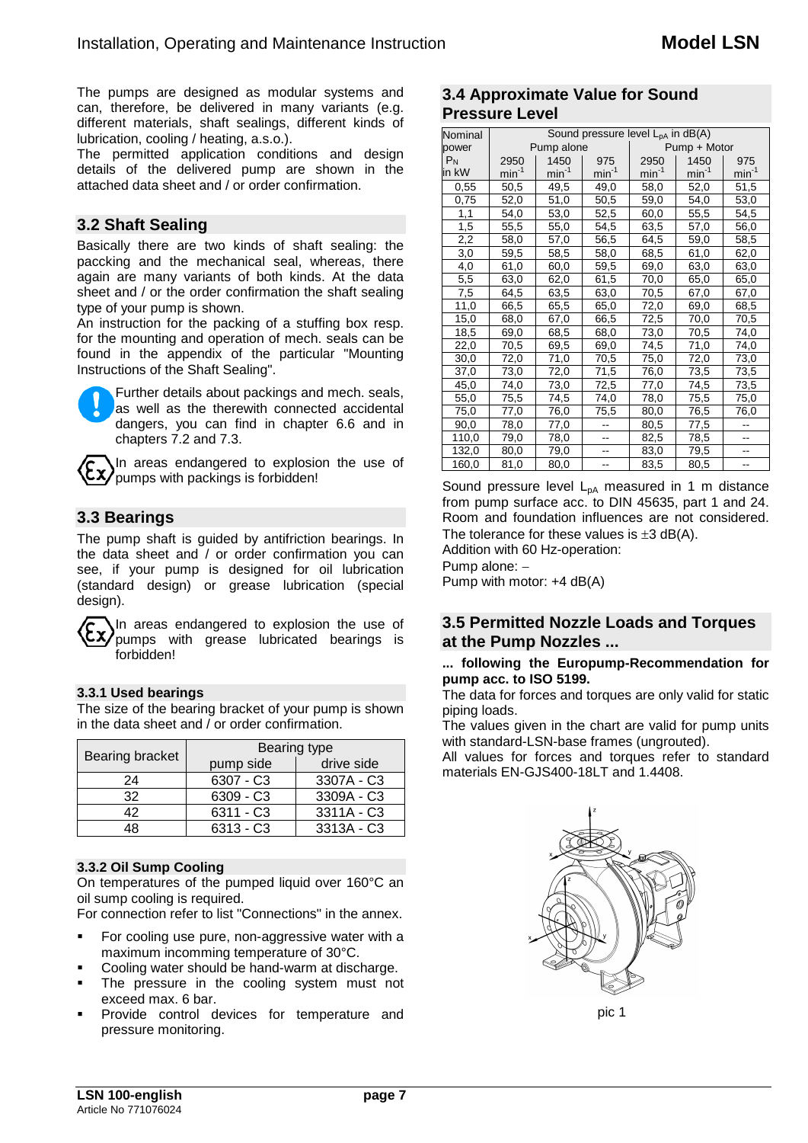The pumps are designed as modular systems and can, therefore, be delivered in many variants (e.g. different materials, shaft sealings, different kinds of lubrication, cooling / heating, a.s.o.).

The permitted application conditions and design details of the delivered pump are shown in the attached data sheet and / or order confirmation.

## **3.2 Shaft Sealing**

Basically there are two kinds of shaft sealing: the paccking and the mechanical seal, whereas, there again are many variants of both kinds. At the data sheet and / or the order confirmation the shaft sealing type of your pump is shown.

An instruction for the packing of a stuffing box resp. for the mounting and operation of mech. seals can be found in the appendix of the particular "Mounting Instructions of the Shaft Sealing".



Further details about packings and mech. seals, as well as the therewith connected accidental dangers, you can find in chapter 6.6 and in chapters 7.2 and 7.3.

In areas endangered to explosion the use of  $\left\langle \xi \chi \right\rangle$  pumps with packings is forbidden!

## **3.3 Bearings**

The pump shaft is guided by antifriction bearings. In the data sheet and / or order confirmation you can see, if your pump is designed for oil lubrication (standard design) or grease lubrication (special design).

In areas endangered to explosion the use of pumps with grease lubricated bearings is forbidden!

## **3.3.1 Used bearings**

The size of the bearing bracket of your pump is shown in the data sheet and / or order confirmation.

| Bearing bracket | Bearing type |            |  |  |  |
|-----------------|--------------|------------|--|--|--|
|                 | pump side    | drive side |  |  |  |
| 24              | 6307 - C3    | 3307A - C3 |  |  |  |
| 32              | 6309 - C3    | 3309A - C3 |  |  |  |
| 42              | $6311 - C3$  | 3311A - C3 |  |  |  |
| 18              | $6313 - C3$  | 3313A - C3 |  |  |  |

## **3.3.2 Oil Sump Cooling**

On temperatures of the pumped liquid over 160°C an oil sump cooling is required.

For connection refer to list "Connections" in the annex.

- For cooling use pure, non-aggressive water with a maximum incomming temperature of 30°C.
- Cooling water should be hand-warm at discharge.
- The pressure in the cooling system must not exceed max. 6 bar.
- Provide control devices for temperature and pressure monitoring.

## **3.4 Approximate Value for Sound Pressure Level**

| Nominal | Sound pressure level $L_{pA}$ in dB(A) |            |            |              |            |            |  |  |  |
|---------|----------------------------------------|------------|------------|--------------|------------|------------|--|--|--|
| power   |                                        | Pump alone |            | Pump + Motor |            |            |  |  |  |
| $P_N$   | 2950                                   | 1450       | 975        | 2950         | 1450       | 975        |  |  |  |
| in kW   | $min-1$                                | $min^{-1}$ | $min^{-1}$ | $min^{-1}$   | $min^{-1}$ | $min^{-1}$ |  |  |  |
| 0,55    | 50,5                                   | 49,5       | 49,0       | 58,0         | 52,0       | 51,5       |  |  |  |
| 0,75    | 52,0                                   | 51,0       | 50,5       | 59,0         | 54,0       | 53,0       |  |  |  |
| 1,1     | 54,0                                   | 53,0       | 52,5       | 60,0         | 55,5       | 54,5       |  |  |  |
| 1,5     | 55,5                                   | 55,0       | 54,5       | 63,5         | 57,0       | 56,0       |  |  |  |
| 2,2     | 58,0                                   | 57,0       | 56,5       | 64,5         | 59,0       | 58,5       |  |  |  |
| 3,0     | 59,5                                   | 58,5       | 58,0       | 68,5         | 61,0       | 62,0       |  |  |  |
| 4,0     | 61,0                                   | 60,0       | 59,5       | 69,0         | 63,0       | 63,0       |  |  |  |
| 5,5     | 63,0                                   | 62,0       | 61,5       | 70,0         | 65,0       | 65,0       |  |  |  |
| 7,5     | 64,5                                   | 63,5       | 63,0       | 70,5         | 67,0       | 67,0       |  |  |  |
| 11,0    | 66,5                                   | 65,5       | 65,0       | 72,0         | 69,0       | 68,5       |  |  |  |
| 15,0    | 68,0                                   | 67,0       | 66,5       | 72,5         | 70,0       | 70,5       |  |  |  |
| 18,5    | 69,0                                   | 68,5       | 68,0       | 73,0         | 70,5       | 74,0       |  |  |  |
| 22,0    | 70,5                                   | 69,5       | 69,0       | 74,5         | 71,0       | 74,0       |  |  |  |
| 30,0    | 72,0                                   | 71,0       | 70,5       | 75,0         | 72,0       | 73,0       |  |  |  |
| 37,0    | 73,0                                   | 72,0       | 71,5       | 76,0         | 73,5       | 73,5       |  |  |  |
| 45,0    | 74,0                                   | 73,0       | 72,5       | 77,0         | 74,5       | 73,5       |  |  |  |
| 55,0    | 75,5                                   | 74,5       | 74,0       | 78,0         | 75,5       | 75,0       |  |  |  |
| 75,0    | 77,0                                   | 76,0       | 75,5       | 80,0         | 76,5       | 76,0       |  |  |  |
| 90,0    | 78,0                                   | 77,0       |            | 80,5         | 77,5       |            |  |  |  |
| 110,0   | 79,0                                   | 78,0       |            | 82,5         | 78,5       |            |  |  |  |
| 132,0   | 80,0                                   | 79,0       |            | 83,0         | 79,5       |            |  |  |  |
| 160,0   | 81,0                                   | 80,0       | --         | 83,5         | 80,5       | --         |  |  |  |

Sound pressure level  $L_{pA}$  measured in 1 m distance from pump surface acc. to DIN 45635, part 1 and 24. Room and foundation influences are not considered. The tolerance for these values is  $\pm 3$  dB(A).

Addition with 60 Hz-operation:

Pump alone: −

Pump with motor: +4 dB(A)

## **3.5 Permitted Nozzle Loads and Torques at the Pump Nozzles ...**

#### **... following the Europump-Recommendation for pump acc. to ISO 5199.**

The data for forces and torques are only valid for static piping loads.

The values given in the chart are valid for pump units with standard-LSN-base frames (ungrouted).

All values for forces and torques refer to standard materials EN-GJS400-18LT and 1.4408.



pic 1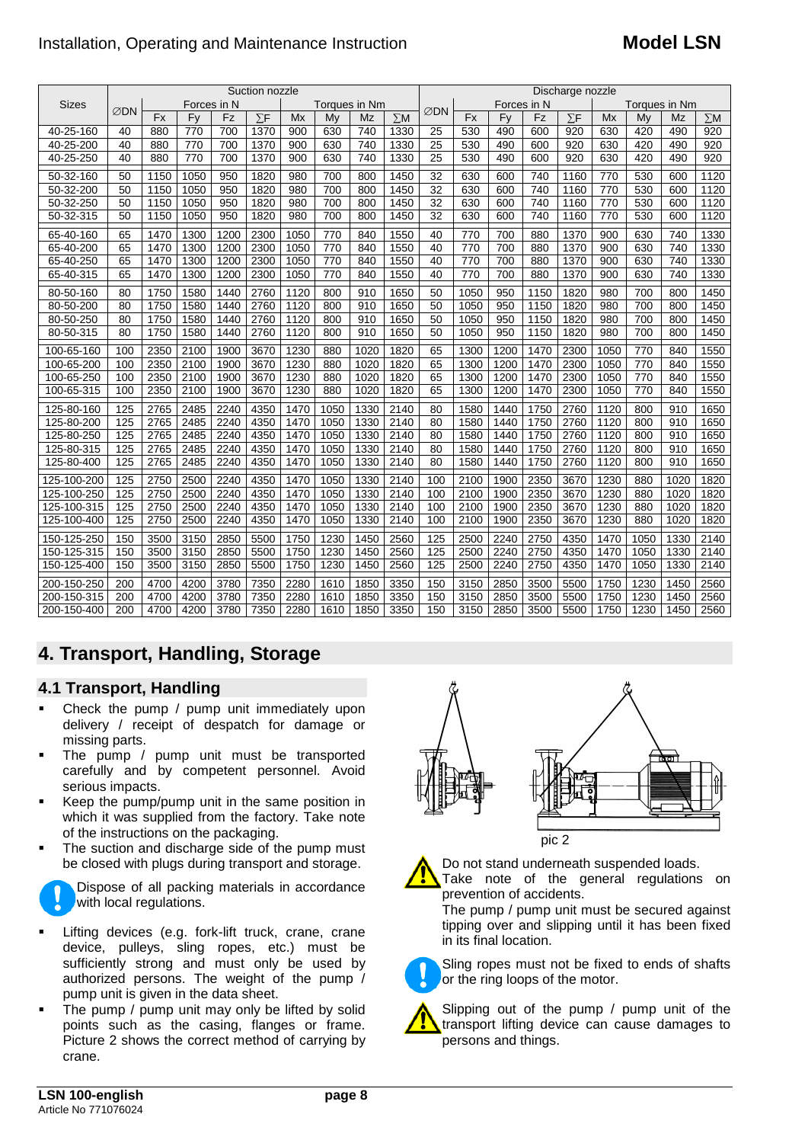## Installation, Operating and Maintenance Instruction **Model LSN**

|              | Suction nozzle                             |           |      |      |            |      |      | Discharge nozzle |            |             |           |      |      |            |               |      |      |            |
|--------------|--------------------------------------------|-----------|------|------|------------|------|------|------------------|------------|-------------|-----------|------|------|------------|---------------|------|------|------------|
| <b>Sizes</b> | Forces in N<br>Toraues in Nm<br><b>⊘DN</b> |           |      |      |            |      |      |                  |            | Forces in N |           |      |      |            | Torques in Nm |      |      |            |
|              |                                            | <b>Fx</b> | Fy   | Fz   | $\Sigma$ F | Mx   | Mv   | Mz               | $\Sigma$ M | ∅DN         | <b>Fx</b> | Fy   | Fz   | $\Sigma$ F | Mx            | My   | Mz   | $\Sigma$ M |
| 40-25-160    | 40                                         | 880       | 770  | 700  | 1370       | 900  | 630  | 740              | 1330       | 25          | 530       | 490  | 600  | 920        | 630           | 420  | 490  | 920        |
| 40-25-200    | 40                                         | 880       | 770  | 700  | 1370       | 900  | 630  | 740              | 1330       | 25          | 530       | 490  | 600  | 920        | 630           | 420  | 490  | 920        |
| 40-25-250    | 40                                         | 880       | 770  | 700  | 1370       | 900  | 630  | 740              | 1330       | 25          | 530       | 490  | 600  | 920        | 630           | 420  | 490  | 920        |
| 50-32-160    | 50                                         | 1150      | 1050 | 950  | 1820       | 980  | 700  | 800              | 1450       | 32          | 630       | 600  | 740  | 1160       | 770           | 530  | 600  | 1120       |
| 50-32-200    | 50                                         | 1150      | 1050 | 950  | 1820       | 980  | 700  | 800              | 1450       | 32          | 630       | 600  | 740  | 1160       | 770           | 530  | 600  | 1120       |
| 50-32-250    | 50                                         | 1150      | 1050 | 950  | 1820       | 980  | 700  | 800              | 1450       | 32          | 630       | 600  | 740  | 1160       | 770           | 530  | 600  | 1120       |
| 50-32-315    | 50                                         | 1150      | 1050 | 950  | 1820       | 980  | 700  | 800              | 1450       | 32          | 630       | 600  | 740  | 1160       | 770           | 530  | 600  | 1120       |
| 65-40-160    | 65                                         | 1470      | 1300 | 1200 | 2300       | 1050 | 770  | 840              | 1550       | 40          | 770       | 700  | 880  | 1370       | 900           | 630  | 740  | 1330       |
| 65-40-200    | 65                                         | 1470      | 1300 | 1200 | 2300       | 1050 | 770  | 840              | 1550       | 40          | 770       | 700  | 880  | 1370       | 900           | 630  | 740  | 1330       |
| 65-40-250    | 65                                         | 1470      | 1300 | 1200 | 2300       | 1050 | 770  | 840              | 1550       | 40          | 770       | 700  | 880  | 1370       | 900           | 630  | 740  | 1330       |
| 65-40-315    | 65                                         | 1470      | 1300 | 1200 | 2300       | 1050 | 770  | 840              | 1550       | 40          | 770       | 700  | 880  | 1370       | 900           | 630  | 740  | 1330       |
| 80-50-160    | 80                                         | 1750      | 1580 | 1440 | 2760       | 1120 | 800  | 910              | 1650       | 50          | 1050      | 950  | 1150 | 1820       | 980           | 700  | 800  | 1450       |
| 80-50-200    | 80                                         | 1750      | 1580 | 1440 | 2760       | 1120 | 800  | 910              | 1650       | 50          | 1050      | 950  | 1150 | 1820       | 980           | 700  | 800  | 1450       |
| 80-50-250    | 80                                         | 1750      | 1580 | 1440 | 2760       | 1120 | 800  | 910              | 1650       | 50          | 1050      | 950  | 1150 | 1820       | 980           | 700  | 800  | 1450       |
| 80-50-315    | 80                                         | 1750      | 1580 | 1440 | 2760       | 1120 | 800  | 910              | 1650       | 50          | 1050      | 950  | 1150 | 1820       | 980           | 700  | 800  | 1450       |
| 100-65-160   | 100                                        | 2350      | 2100 | 1900 | 3670       | 1230 | 880  | 1020             | 1820       | 65          | 1300      | 1200 | 1470 | 2300       | 1050          | 770  | 840  | 1550       |
| 100-65-200   | 100                                        | 2350      | 2100 | 1900 | 3670       | 1230 | 880  | 1020             | 1820       | 65          | 1300      | 1200 | 1470 | 2300       | 1050          | 770  | 840  | 1550       |
| 100-65-250   | 100                                        | 2350      | 2100 | 1900 | 3670       | 1230 | 880  | 1020             | 1820       | 65          | 1300      | 1200 | 1470 | 2300       | 1050          | 770  | 840  | 1550       |
| 100-65-315   | 100                                        | 2350      | 2100 | 1900 | 3670       | 1230 | 880  | 1020             | 1820       | 65          | 1300      | 1200 | 1470 | 2300       | 1050          | 770  | 840  | 1550       |
| 125-80-160   | 125                                        | 2765      | 2485 | 2240 | 4350       | 1470 | 1050 | 1330             | 2140       | 80          | 1580      | 1440 | 1750 | 2760       | 1120          | 800  | 910  | 1650       |
| 125-80-200   | 125                                        | 2765      | 2485 | 2240 | 4350       | 1470 | 1050 | 1330             | 2140       | 80          | 1580      | 1440 | 1750 | 2760       | 1120          | 800  | 910  | 1650       |
| 125-80-250   | 125                                        | 2765      | 2485 | 2240 | 4350       | 1470 | 1050 | 1330             | 2140       | 80          | 1580      | 1440 | 1750 | 2760       | 1120          | 800  | 910  | 1650       |
| 125-80-315   | 125                                        | 2765      | 2485 | 2240 | 4350       | 1470 | 1050 | 1330             | 2140       | 80          | 1580      | 1440 | 1750 | 2760       | 1120          | 800  | 910  | 1650       |
| 125-80-400   | 125                                        | 2765      | 2485 | 2240 | 4350       | 1470 | 1050 | 1330             | 2140       | 80          | 1580      | 1440 | 1750 | 2760       | 1120          | 800  | 910  | 1650       |
| 125-100-200  | 125                                        | 2750      | 2500 | 2240 | 4350       | 1470 | 1050 | 1330             | 2140       | 100         | 2100      | 1900 | 2350 | 3670       | 1230          | 880  | 1020 | 1820       |
| 125-100-250  | 125                                        | 2750      | 2500 | 2240 | 4350       | 1470 | 1050 | 1330             | 2140       | 100         | 2100      | 1900 | 2350 | 3670       | 1230          | 880  | 1020 | 1820       |
| 125-100-315  | 125                                        | 2750      | 2500 | 2240 | 4350       | 1470 | 1050 | 1330             | 2140       | 100         | 2100      | 1900 | 2350 | 3670       | 1230          | 880  | 1020 | 1820       |
| 125-100-400  | 125                                        | 2750      | 2500 | 2240 | 4350       | 1470 | 1050 | 1330             | 2140       | 100         | 2100      | 1900 | 2350 | 3670       | 1230          | 880  | 1020 | 1820       |
| 150-125-250  | 150                                        | 3500      | 3150 | 2850 | 5500       | 1750 | 1230 | 1450             | 2560       | 125         | 2500      | 2240 | 2750 | 4350       | 1470          | 1050 | 1330 | 2140       |
| 150-125-315  | 150                                        | 3500      | 3150 | 2850 | 5500       | 1750 | 1230 | 1450             | 2560       | 125         | 2500      | 2240 | 2750 | 4350       | 1470          | 1050 | 1330 | 2140       |
| 150-125-400  | 150                                        | 3500      | 3150 | 2850 | 5500       | 1750 | 1230 | 1450             | 2560       | 125         | 2500      | 2240 | 2750 | 4350       | 1470          | 1050 | 1330 | 2140       |
| 200-150-250  | 200                                        | 4700      | 4200 | 3780 | 7350       | 2280 | 1610 | 1850             | 3350       | 150         | 3150      | 2850 | 3500 | 5500       | 1750          | 1230 | 1450 | 2560       |
| 200-150-315  | 200                                        | 4700      | 4200 | 3780 | 7350       | 2280 | 1610 | 1850             | 3350       | 150         | 3150      | 2850 | 3500 | 5500       | 1750          | 1230 | 1450 | 2560       |
| 200-150-400  | 200                                        | 4700      | 4200 | 3780 | 7350       | 2280 | 1610 | 1850             | 3350       | 150         | 3150      | 2850 | 3500 | 5500       | 1750          | 1230 | 1450 | 2560       |

# **4. Transport, Handling, Storage**

## **4.1 Transport, Handling**

- Check the pump / pump unit immediately upon delivery / receipt of despatch for damage or missing parts.
- The pump / pump unit must be transported carefully and by competent personnel. Avoid serious impacts.
- Keep the pump/pump unit in the same position in which it was supplied from the factory. Take note of the instructions on the packaging.
- The suction and discharge side of the pump must be closed with plugs during transport and storage.

Dispose of all packing materials in accordance with local regulations.

- Lifting devices (e.g. fork-lift truck, crane, crane device, pulleys, sling ropes, etc.) must be sufficiently strong and must only be used by authorized persons. The weight of the pump / pump unit is given in the data sheet.
- The pump / pump unit may only be lifted by solid points such as the casing, flanges or frame. Picture 2 shows the correct method of carrying by crane.



pic 2

Do not stand underneath suspended loads.

Take note of the general regulations on prevention of accidents.

The pump / pump unit must be secured against tipping over and slipping until it has been fixed in its final location.



Sling ropes must not be fixed to ends of shafts or the ring loops of the motor.

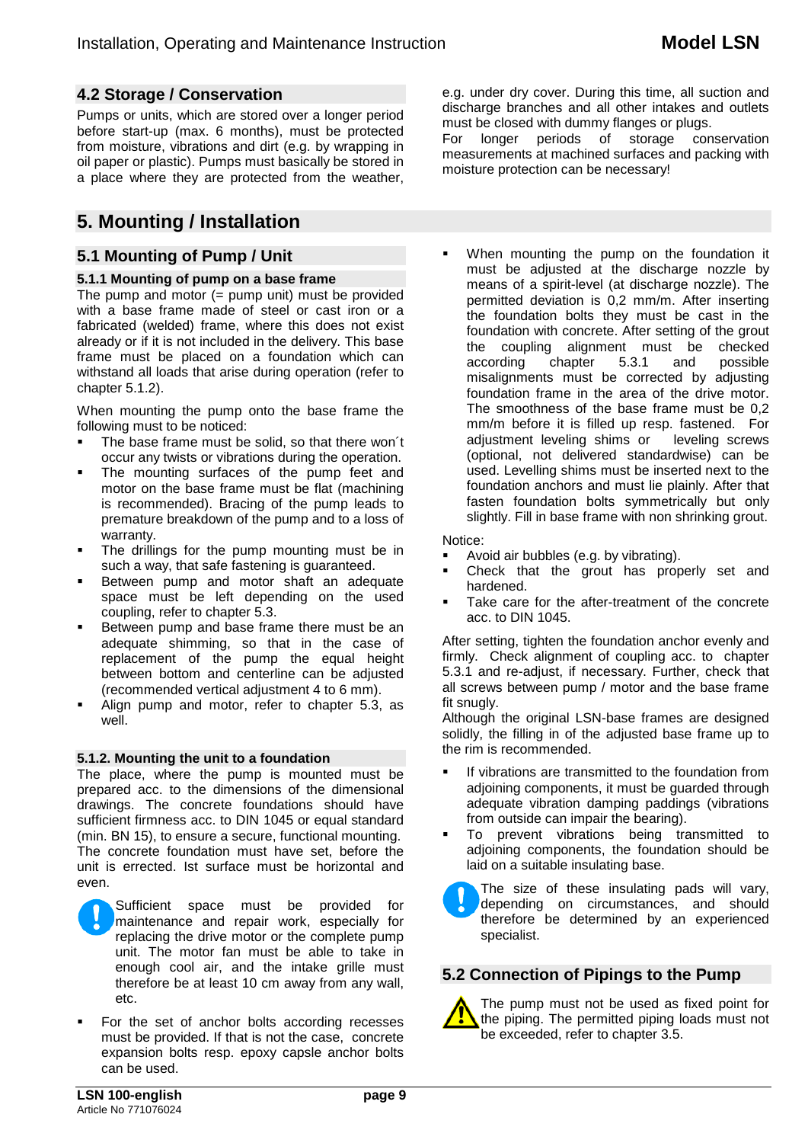## **4.2 Storage / Conservation**

Pumps or units, which are stored over a longer period before start-up (max. 6 months), must be protected from moisture, vibrations and dirt (e.g. by wrapping in oil paper or plastic). Pumps must basically be stored in a place where they are protected from the weather,

# **5. Mounting / Installation**

## **5.1 Mounting of Pump / Unit**

#### **5.1.1 Mounting of pump on a base frame**

The pump and motor  $(=$  pump unit) must be provided with a base frame made of steel or cast iron or a fabricated (welded) frame, where this does not exist already or if it is not included in the delivery. This base frame must be placed on a foundation which can withstand all loads that arise during operation (refer to chapter 5.1.2).

When mounting the pump onto the base frame the following must to be noticed:

- The base frame must be solid, so that there won´t occur any twists or vibrations during the operation.
- The mounting surfaces of the pump feet and motor on the base frame must be flat (machining is recommended). Bracing of the pump leads to premature breakdown of the pump and to a loss of warranty.
- The drillings for the pump mounting must be in such a way, that safe fastening is guaranteed.
- **Between pump and motor shaft an adequate** space must be left depending on the used coupling, refer to chapter 5.3.
- Between pump and base frame there must be an adequate shimming, so that in the case of replacement of the pump the equal height between bottom and centerline can be adjusted (recommended vertical adjustment 4 to 6 mm).
- Align pump and motor, refer to chapter 5.3, as well.

#### **5.1.2. Mounting the unit to a foundation**

The place, where the pump is mounted must be prepared acc. to the dimensions of the dimensional drawings. The concrete foundations should have sufficient firmness acc. to DIN 1045 or equal standard (min. BN 15), to ensure a secure, functional mounting. The concrete foundation must have set, before the unit is errected. Ist surface must be horizontal and even.



 For the set of anchor bolts according recesses must be provided. If that is not the case, concrete expansion bolts resp. epoxy capsle anchor bolts can be used.

e.g. under dry cover. During this time, all suction and discharge branches and all other intakes and outlets must be closed with dummy flanges or plugs.

For longer periods of storage conservation measurements at machined surfaces and packing with moisture protection can be necessary!

 When mounting the pump on the foundation it must be adjusted at the discharge nozzle by means of a spirit-level (at discharge nozzle). The permitted deviation is 0,2 mm/m. After inserting the foundation bolts they must be cast in the foundation with concrete. After setting of the grout the coupling alignment must be checked<br>according chapter 5.3.1 and possible according misalignments must be corrected by adjusting foundation frame in the area of the drive motor. The smoothness of the base frame must be 0,2 mm/m before it is filled up resp. fastened. For adjustment leveling shims or leveling screws adjustment leveling shims or (optional, not delivered standardwise) can be used. Levelling shims must be inserted next to the foundation anchors and must lie plainly. After that fasten foundation bolts symmetrically but only slightly. Fill in base frame with non shrinking grout.

Notice:

- Avoid air bubbles (e.g. by vibrating).
- Check that the grout has properly set and hardened.
- Take care for the after-treatment of the concrete acc. to DIN 1045.

After setting, tighten the foundation anchor evenly and firmly. Check alignment of coupling acc. to chapter 5.3.1 and re-adjust, if necessary. Further, check that all screws between pump / motor and the base frame fit snugly.

Although the original LSN-base frames are designed solidly, the filling in of the adjusted base frame up to the rim is recommended.

- If vibrations are transmitted to the foundation from adjoining components, it must be guarded through adequate vibration damping paddings (vibrations from outside can impair the bearing).
- To prevent vibrations being transmitted to adjoining components, the foundation should be laid on a suitable insulating base.

The size of these insulating pads will vary, depending on circumstances, and should therefore be determined by an experienced specialist.

## **5.2 Connection of Pipings to the Pump**



The pump must not be used as fixed point for the piping. The permitted piping loads must not be exceeded, refer to chapter 3.5.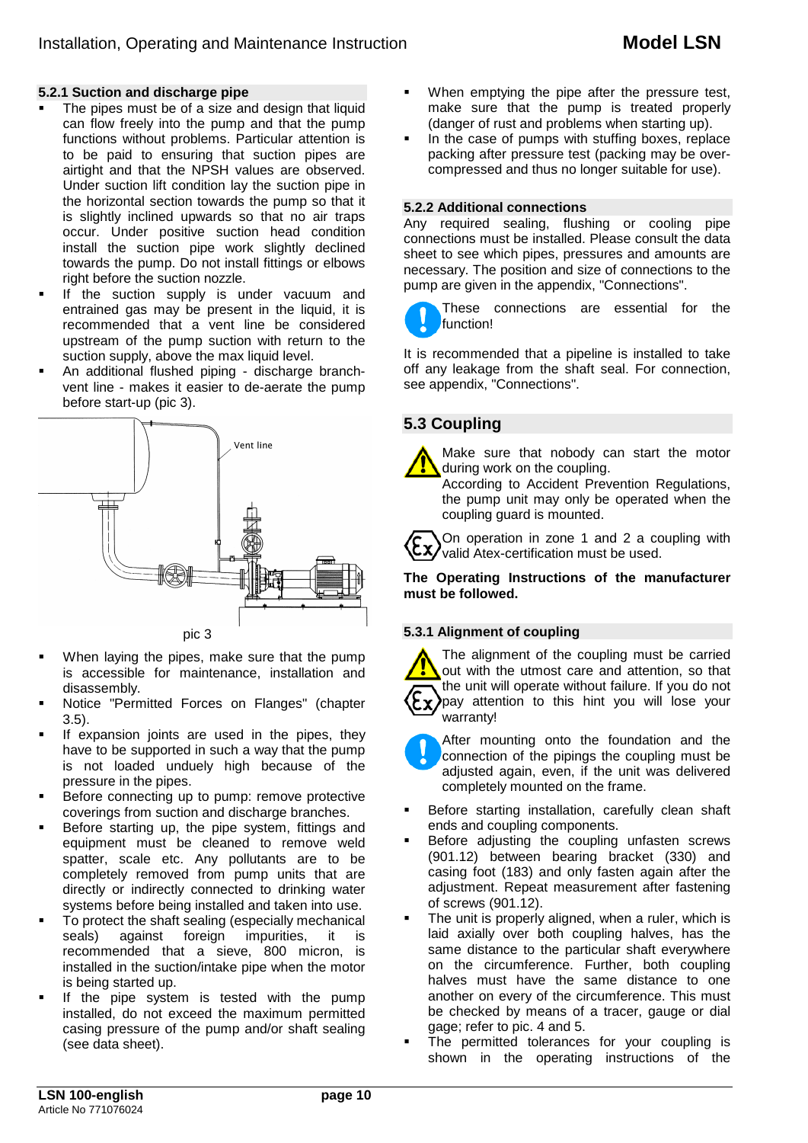#### **5.2.1 Suction and discharge pipe**

- The pipes must be of a size and design that liquid can flow freely into the pump and that the pump functions without problems. Particular attention is to be paid to ensuring that suction pipes are airtight and that the NPSH values are observed. Under suction lift condition lay the suction pipe in the horizontal section towards the pump so that it is slightly inclined upwards so that no air traps occur. Under positive suction head condition install the suction pipe work slightly declined towards the pump. Do not install fittings or elbows right before the suction nozzle.
- If the suction supply is under vacuum and entrained gas may be present in the liquid, it is recommended that a vent line be considered upstream of the pump suction with return to the suction supply, above the max liquid level.
- An additional flushed piping discharge branchvent line - makes it easier to de-aerate the pump before start-up (pic 3).



- When laying the pipes, make sure that the pump is accessible for maintenance, installation and disassembly.
- Notice "Permitted Forces on Flanges" (chapter 3.5).
- If expansion joints are used in the pipes, they have to be supported in such a way that the pump is not loaded unduely high because of the pressure in the pipes.
- Before connecting up to pump: remove protective coverings from suction and discharge branches.
- Before starting up, the pipe system, fittings and equipment must be cleaned to remove weld spatter, scale etc. Any pollutants are to be completely removed from pump units that are directly or indirectly connected to drinking water systems before being installed and taken into use.
- To protect the shaft sealing (especially mechanical seals) against foreign impurities, it is recommended that a sieve, 800 micron, is installed in the suction/intake pipe when the motor is being started up.
- If the pipe system is tested with the pump installed, do not exceed the maximum permitted casing pressure of the pump and/or shaft sealing (see data sheet).
- When emptying the pipe after the pressure test, make sure that the pump is treated properly (danger of rust and problems when starting up).
- In the case of pumps with stuffing boxes, replace packing after pressure test (packing may be overcompressed and thus no longer suitable for use).

#### **5.2.2 Additional connections**

Any required sealing, flushing or cooling pipe connections must be installed. Please consult the data sheet to see which pipes, pressures and amounts are necessary. The position and size of connections to the pump are given in the appendix, "Connections".

These connections are essential for the function!

It is recommended that a pipeline is installed to take off any leakage from the shaft seal. For connection, see appendix, "Connections".

## **5.3 Coupling**



Make sure that nobody can start the motor during work on the coupling.

According to Accident Prevention Regulations, the pump unit may only be operated when the coupling guard is mounted.

On operation in zone 1 and 2 a coupling with  $\langle \xi \chi \rangle$  valid Atex-certification must be used.

**The Operating Instructions of the manufacturer must be followed.**

#### **5.3.1 Alignment of coupling**

The alignment of the coupling must be carried out with the utmost care and attention, so that the unit will operate without failure. If you do not pay attention to this hint you will lose your warranty!

- After mounting onto the foundation and the connection of the pipings the coupling must be adjusted again, even, if the unit was delivered completely mounted on the frame.
- Before starting installation, carefully clean shaft ends and coupling components.
- Before adjusting the coupling unfasten screws (901.12) between bearing bracket (330) and casing foot (183) and only fasten again after the adjustment. Repeat measurement after fastening of screws (901.12).
- The unit is properly aligned, when a ruler, which is laid axially over both coupling halves, has the same distance to the particular shaft everywhere on the circumference. Further, both coupling halves must have the same distance to one another on every of the circumference. This must be checked by means of a tracer, gauge or dial gage; refer to pic. 4 and 5.
- The permitted tolerances for your coupling is shown in the operating instructions of the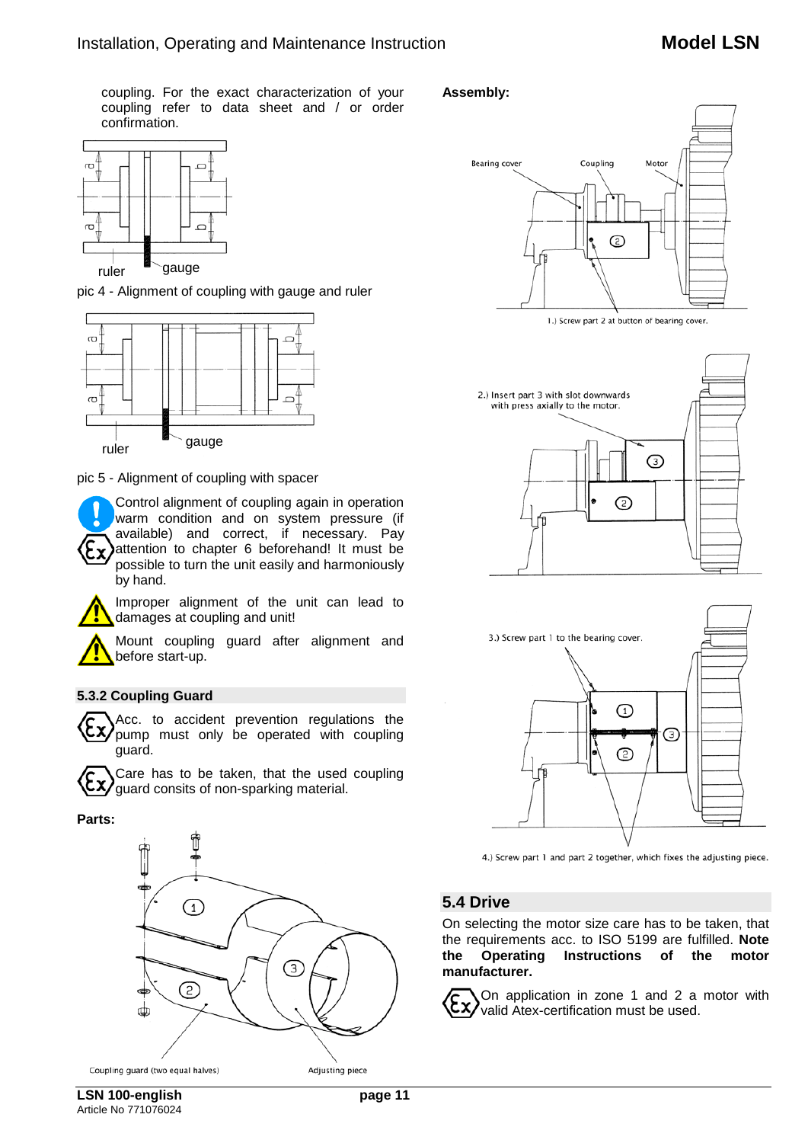coupling. For the exact characterization of your coupling refer to data sheet and / or order confirmation.













## **5.4 Drive**

On selecting the motor size care has to be taken, that the requirements acc. to ISO 5199 are fulfilled. **Note the Operating Instructions of the motor manufacturer.**

On application in zone 1 and 2 a motor with valid Atex-certification must be used.



pic 4 - Alignment of coupling with gauge and ruler



pic 5 - Alignment of coupling with spacer



Improper alignment of the unit can lead to damages at coupling and unit!

Mount coupling guard after alignment and before start-up.

## **5.3.2 Coupling Guard**

Acc. to accident prevention regulations the Ex) pump must only be operated with coupling guard.

Care has to be taken, that the used coupling guard consits of non-sparking material.

#### **Parts:**



Article No 771076024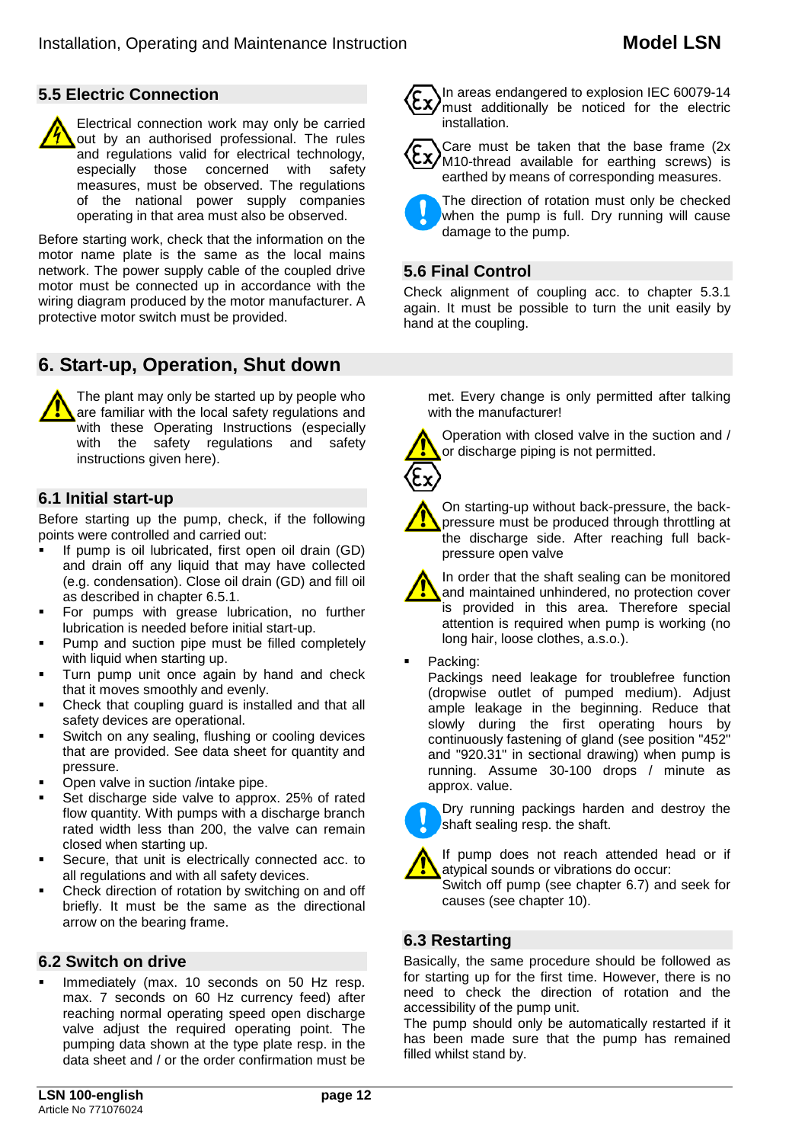## **5.5 Electric Connection**

Electrical connection work may only be carried out by an authorised professional. The rules and regulations valid for electrical technology, especially those concerned with safety measures, must be observed. The regulations of the national power supply companies operating in that area must also be observed.

Before starting work, check that the information on the motor name plate is the same as the local mains network. The power supply cable of the coupled drive motor must be connected up in accordance with the wiring diagram produced by the motor manufacturer. A protective motor switch must be provided.

# **6. Start-up, Operation, Shut down**

The plant may only be started up by people who are familiar with the local safety regulations and with these Operating Instructions (especially with the safety regulations and safety instructions given here).

## **6.1 Initial start-up**

Before starting up the pump, check, if the following points were controlled and carried out:

- If pump is oil lubricated, first open oil drain (GD) and drain off any liquid that may have collected (e.g. condensation). Close oil drain (GD) and fill oil as described in chapter 6.5.1.
- **For pumps with grease lubrication, no further** lubrication is needed before initial start-up.
- **Pump and suction pipe must be filled completely** with liquid when starting up.
- Turn pump unit once again by hand and check that it moves smoothly and evenly.
- Check that coupling guard is installed and that all safety devices are operational.
- Switch on any sealing, flushing or cooling devices that are provided. See data sheet for quantity and pressure.
- Open valve in suction /intake pipe.
- Set discharge side valve to approx. 25% of rated flow quantity. With pumps with a discharge branch rated width less than 200, the valve can remain closed when starting up.
- Secure, that unit is electrically connected acc. to all regulations and with all safety devices.
- Check direction of rotation by switching on and off briefly. It must be the same as the directional arrow on the bearing frame.

## **6.2 Switch on drive**

 Immediately (max. 10 seconds on 50 Hz resp. max. 7 seconds on 60 Hz currency feed) after reaching normal operating speed open discharge valve adjust the required operating point. The pumping data shown at the type plate resp. in the data sheet and / or the order confirmation must be



In areas endangered to explosion IEC 60079-14 must additionally be noticed for the electric installation.

Care must be taken that the base frame (2x M10-thread available for earthing screws) is earthed by means of corresponding measures.

The direction of rotation must only be checked when the pump is full. Dry running will cause damage to the pump.

## **5.6 Final Control**

Check alignment of coupling acc. to chapter 5.3.1 again. It must be possible to turn the unit easily by hand at the coupling.

met. Every change is only permitted after talking with the manufacturer!

Operation with closed valve in the suction and / or discharge piping is not permitted.

On starting-up without back-pressure, the backpressure must be produced through throttling at the discharge side. After reaching full backpressure open valve

In order that the shaft sealing can be monitored and maintained unhindered, no protection cover is provided in this area. Therefore special attention is required when pump is working (no long hair, loose clothes, a.s.o.).

Packing:

Packings need leakage for troublefree function (dropwise outlet of pumped medium). Adjust ample leakage in the beginning. Reduce that slowly during the first operating hours by continuously fastening of gland (see position "452" and "920.31" in sectional drawing) when pump is running. Assume 30-100 drops / minute as approx. value.



If pump does not reach attended head or if atypical sounds or vibrations do occur:



## **6.3 Restarting**

Basically, the same procedure should be followed as for starting up for the first time. However, there is no need to check the direction of rotation and the accessibility of the pump unit.

The pump should only be automatically restarted if it has been made sure that the pump has remained filled whilst stand by.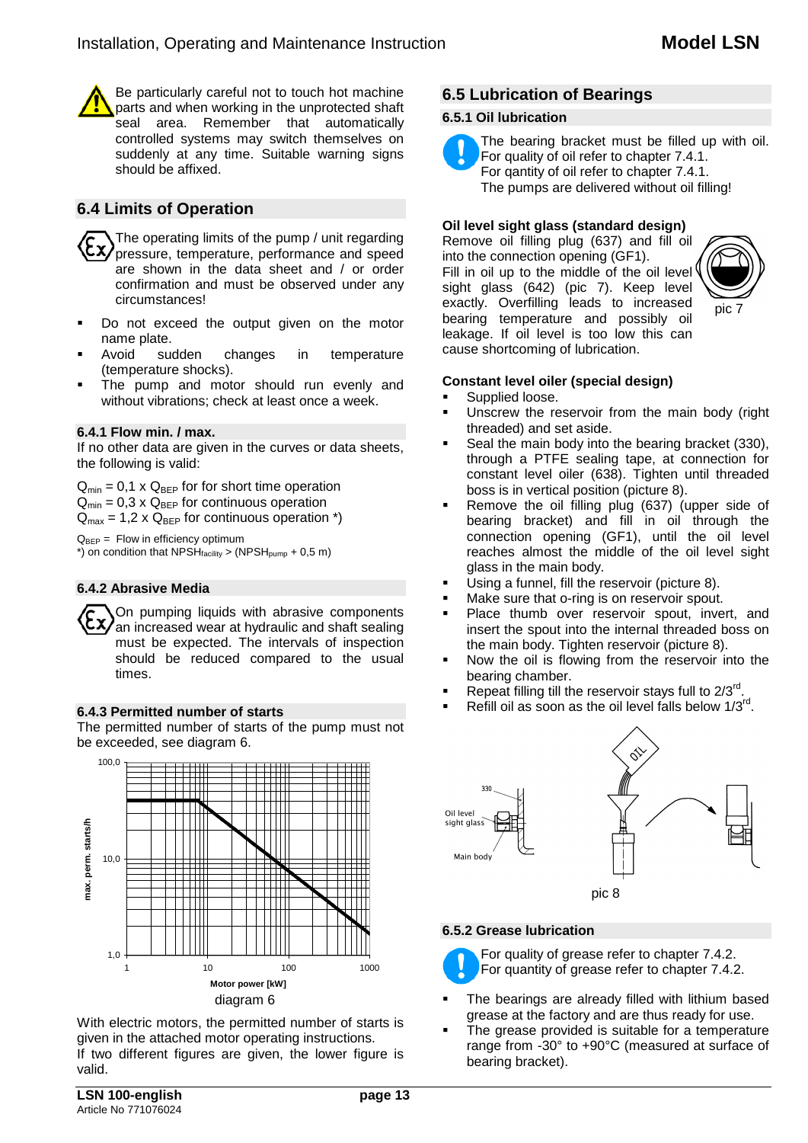Be particularly careful not to touch hot machine parts and when working in the unprotected shaft seal area. Remember that automatically controlled systems may switch themselves on suddenly at any time. Suitable warning signs should be affixed.

## **6.4 Limits of Operation**

The operating limits of the pump / unit regarding pressure, temperature, performance and speed are shown in the data sheet and / or order confirmation and must be observed under any circumstances!

- Do not exceed the output given on the motor name plate.<br>Avoid sudden
- changes in temperature (temperature shocks).
- The pump and motor should run evenly and without vibrations; check at least once a week.

#### **6.4.1 Flow min. / max.**

If no other data are given in the curves or data sheets, the following is valid:

 $Q_{min} = 0.1 \times Q_{BEP}$  for for short time operation  $Q_{min} = 0.3 \times Q_{BEP}$  for continuous operation  $Q_{\text{max}} = 1.2 \times Q_{\text{BFP}}$  for continuous operation \*)

 $Q_{BEP} =$  Flow in efficiency optimum  $*$ ) on condition that NPSH $_{\text{facility}}$  > (NPSH<sub>pump</sub> + 0,5 m)

#### **6.4.2 Abrasive Media**

On pumping liquids with abrasive components an increased wear at hydraulic and shaft sealing must be expected. The intervals of inspection should be reduced compared to the usual times.

#### **6.4.3 Permitted number of starts**

The permitted number of starts of the pump must not be exceeded, see diagram 6.



With electric motors, the permitted number of starts is given in the attached motor operating instructions. If two different figures are given, the lower figure is valid.

## **6.5 Lubrication of Bearings**

#### **6.5.1 Oil lubrication**

The bearing bracket must be filled up with oil. For quality of oil refer to chapter 7.4.1.

For qantity of oil refer to chapter 7.4.1. The pumps are delivered without oil filling!

#### **Oil level sight glass (standard design)**

Remove oil filling plug (637) and fill oil into the connection opening (GF1). Fill in oil up to the middle of the oil level sight glass (642) (pic 7). Keep level exactly. Overfilling leads to increased bearing temperature and possibly oil leakage. If oil level is too low this can cause shortcoming of lubrication.



#### **Constant level oiler (special design)**

- Supplied loose.
- Unscrew the reservoir from the main body (right threaded) and set aside.
- Seal the main body into the bearing bracket (330), through a PTFE sealing tape, at connection for constant level oiler (638). Tighten until threaded boss is in vertical position (picture 8).
- Remove the oil filling plug (637) (upper side of bearing bracket) and fill in oil through the connection opening (GF1), until the oil level reaches almost the middle of the oil level sight glass in the main body.
- Using a funnel, fill the reservoir (picture 8).
- Make sure that o-ring is on reservoir spout.
- Place thumb over reservoir spout, invert, and insert the spout into the internal threaded boss on the main body. Tighten reservoir (picture 8).
- Now the oil is flowing from the reservoir into the bearing chamber.
- Repeat filling till the reservoir stays full to  $2/3^{rd}$ .
- Refill oil as soon as the oil level falls below 1/3rd.



#### **6.5.2 Grease lubrication**

For quality of grease refer to chapter 7.4.2.

- For quantity of grease refer to chapter 7.4.2.
- The bearings are already filled with lithium based grease at the factory and are thus ready for use.
- The grease provided is suitable for a temperature range from -30° to +90°C (measured at surface of bearing bracket).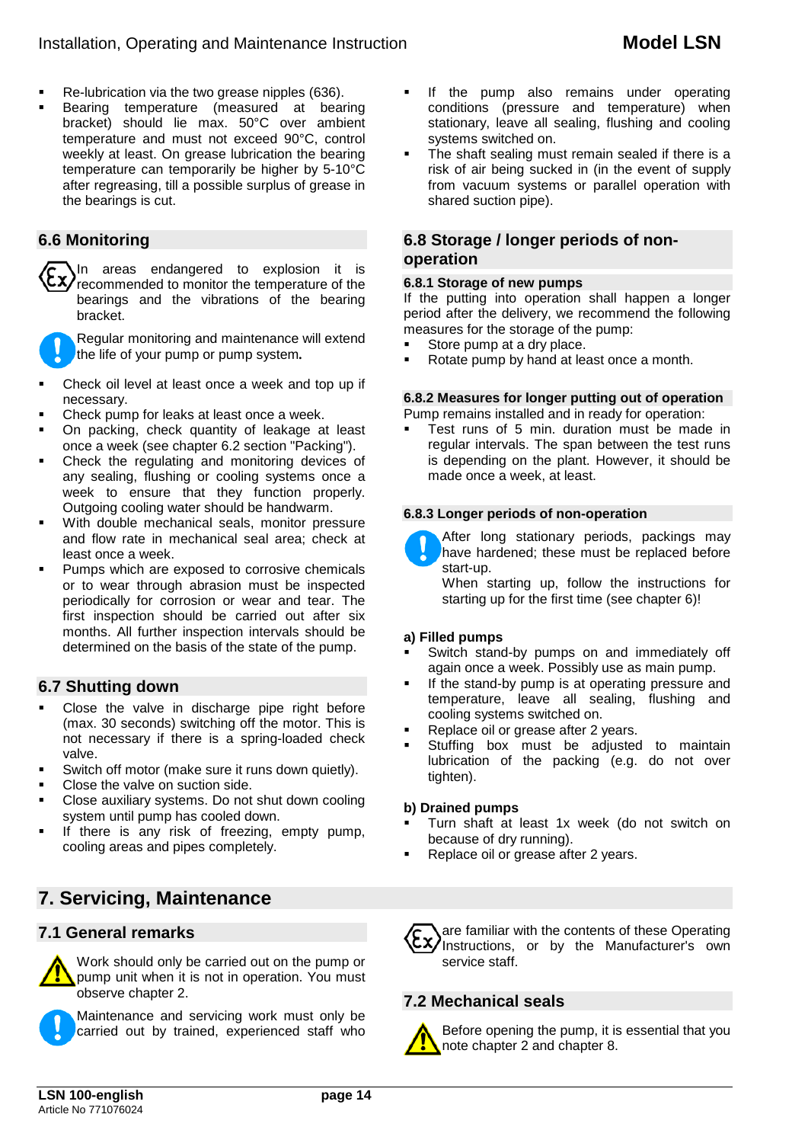- Re-lubrication via the two grease nipples (636).
- Bearing temperature (measured at bearing bracket) should lie max. 50°C over ambient temperature and must not exceed 90°C, control weekly at least. On grease lubrication the bearing temperature can temporarily be higher by 5-10°C after regreasing, till a possible surplus of grease in the bearings is cut.

## **6.6 Monitoring**

In areas endangered to explosion it is recommended to monitor the temperature of the bearings and the vibrations of the bearing bracket.

Regular monitoring and maintenance will extend the life of your pump or pump system*.*

- Check oil level at least once a week and top up if necessary.
- Check pump for leaks at least once a week.
- On packing, check quantity of leakage at least once a week (see chapter 6.2 section "Packing").
- Check the regulating and monitoring devices of any sealing, flushing or cooling systems once a week to ensure that they function properly. Outgoing cooling water should be handwarm.
- With double mechanical seals, monitor pressure and flow rate in mechanical seal area; check at least once a week.
- Pumps which are exposed to corrosive chemicals or to wear through abrasion must be inspected periodically for corrosion or wear and tear. The first inspection should be carried out after six months. All further inspection intervals should be determined on the basis of the state of the pump.

## **6.7 Shutting down**

- Close the valve in discharge pipe right before (max. 30 seconds) switching off the motor. This is not necessary if there is a spring-loaded check valve.
- Switch off motor (make sure it runs down quietly).
- Close the valve on suction side.
- Close auxiliary systems. Do not shut down cooling system until pump has cooled down.
- If there is any risk of freezing, empty pump, cooling areas and pipes completely.

# **7. Servicing, Maintenance**

## **7.1 General remarks**



Work should only be carried out on the pump or pump unit when it is not in operation. You must observe chapter 2.

Maintenance and servicing work must only be carried out by trained, experienced staff who

- If the pump also remains under operating conditions (pressure and temperature) when stationary, leave all sealing, flushing and cooling systems switched on.
- The shaft sealing must remain sealed if there is a risk of air being sucked in (in the event of supply from vacuum systems or parallel operation with shared suction pipe).

#### **6.8 Storage / longer periods of nonoperation**

#### **6.8.1 Storage of new pumps**

If the putting into operation shall happen a longer period after the delivery, we recommend the following measures for the storage of the pump:<br>Store pump at a dry place

- Store pump at a dry place.
- Rotate pump by hand at least once a month.

#### **6.8.2 Measures for longer putting out of operation**

Pump remains installed and in ready for operation:

 Test runs of 5 min. duration must be made in regular intervals. The span between the test runs is depending on the plant. However, it should be made once a week, at least.

#### **6.8.3 Longer periods of non-operation**



After long stationary periods, packings may have hardened; these must be replaced before start-up.

When starting up, follow the instructions for starting up for the first time (see chapter 6)!

#### **a) Filled pumps**

- Switch stand-by pumps on and immediately off again once a week. Possibly use as main pump.
- If the stand-by pump is at operating pressure and temperature, leave all sealing, flushing and cooling systems switched on.
- Replace oil or grease after 2 years.
- Stuffing box must be adjusted to maintain lubrication of the packing (e.g. do not over tighten).

#### **b) Drained pumps**

- Turn shaft at least 1x week (do not switch on because of dry running).
- Replace oil or grease after 2 years.



## **7.2 Mechanical seals**



Before opening the pump, it is essential that you note chapter 2 and chapter 8.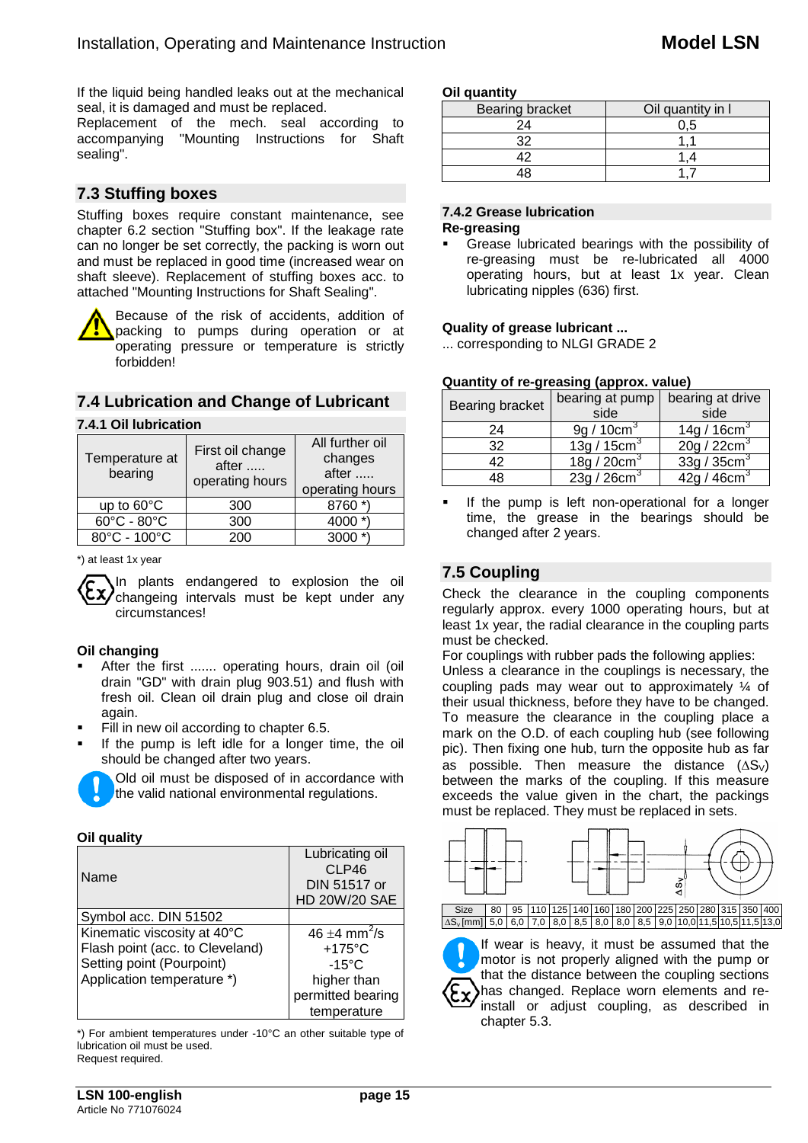If the liquid being handled leaks out at the mechanical seal, it is damaged and must be replaced.

Replacement of the mech. seal according to accompanying "Mounting Instructions for Shaft sealing".

## **7.3 Stuffing boxes**

Stuffing boxes require constant maintenance, see chapter 6.2 section "Stuffing box". If the leakage rate can no longer be set correctly, the packing is worn out and must be replaced in good time (increased wear on shaft sleeve). Replacement of stuffing boxes acc. to attached "Mounting Instructions for Shaft Sealing".

Because of the risk of accidents, addition of packing to pumps during operation or at operating pressure or temperature is strictly forbidden!

## **7.4 Lubrication and Change of Lubricant**

#### **7.4.1 Oil lubrication**

| Temperature at<br>bearing       | First oil change<br>after<br>operating hours | All further oil<br>changes<br>$after \dots$<br>operating hours |  |  |
|---------------------------------|----------------------------------------------|----------------------------------------------------------------|--|--|
| up to 60°C                      | 300                                          | 8760 *                                                         |  |  |
| $60^{\circ}$ C - $80^{\circ}$ C | 300                                          | 4000                                                           |  |  |
| 80°C - 100°C                    | 200                                          | 3000                                                           |  |  |

\*) at least 1x year

In plants endangered to explosion the oil changeing intervals must be kept under any circumstances!

#### **Oil changing**

- After the first ....... operating hours, drain oil (oil drain "GD" with drain plug 903.51) and flush with fresh oil. Clean oil drain plug and close oil drain again.
- Fill in new oil according to chapter 6.5.
- If the pump is left idle for a longer time, the oil should be changed after two years.



#### **Oil quality**

| Name                            | Lubricating oil<br>CLP46<br>DIN 51517 or<br>HD 20W/20 SAE |
|---------------------------------|-----------------------------------------------------------|
| Symbol acc. DIN 51502           |                                                           |
| Kinematic viscosity at 40°C     | 46 $\pm$ 4 mm <sup>2</sup> /s                             |
| Flash point (acc. to Cleveland) | $+175^{\circ}$ C                                          |
| Setting point (Pourpoint)       | $-15^{\circ}$ C                                           |
| Application temperature *)      | higher than                                               |
|                                 | permitted bearing                                         |
|                                 | temperature                                               |

\*) For ambient temperatures under -10°C an other suitable type of lubrication oil must be used.

Request required.

| Bearing bracket | Oil quantity in I |
|-----------------|-------------------|
|                 |                   |
|                 |                   |
|                 |                   |
|                 |                   |

#### **7.4.2 Grease lubrication**

#### **Re-greasing**

 Grease lubricated bearings with the possibility of re-greasing must be re-lubricated all 4000 operating hours, but at least 1x year. Clean lubricating nipples (636) first.

#### **Quality of grease lubricant ...**

... corresponding to NLGI GRADE 2

#### **Quantity of re-greasing (approx. value)**

| <b>Bearing bracket</b> | bearing at pump<br>side | bearing at drive<br>side           |  |  |  |
|------------------------|-------------------------|------------------------------------|--|--|--|
| 24                     | 9q/10cm <sup>3</sup>    | 14g / $16cm3$                      |  |  |  |
| 32                     | 13g / 15cm <sup>3</sup> | 20g / 22cm <sup>3</sup>            |  |  |  |
| ハつ                     | 18g/20cm <sup>3</sup>   | 33q/35cm <sup>3</sup>              |  |  |  |
| 48                     | $\overline{23q}/26cm^3$ | $\overline{42a/46cm}$ <sup>3</sup> |  |  |  |

 If the pump is left non-operational for a longer time, the grease in the bearings should be changed after 2 years.

## **7.5 Coupling**

Check the clearance in the coupling components regularly approx. every 1000 operating hours, but at least 1x year, the radial clearance in the coupling parts must be checked.

For couplings with rubber pads the following applies: Unless a clearance in the couplings is necessary, the coupling pads may wear out to approximately ¼ of their usual thickness, before they have to be changed. To measure the clearance in the coupling place a mark on the O.D. of each coupling hub (see following pic). Then fixing one hub, turn the opposite hub as far as possible. Then measure the distance  $(\Delta S_{\vee})$ between the marks of the coupling. If this measure exceeds the value given in the chart, the packings must be replaced. They must be replaced in sets.



If wear is heavy, it must be assumed that the motor is not properly aligned with the pump or that the distance between the coupling sections has changed. Replace worn elements and reinstall or adjust coupling, as described in chapter 5.3.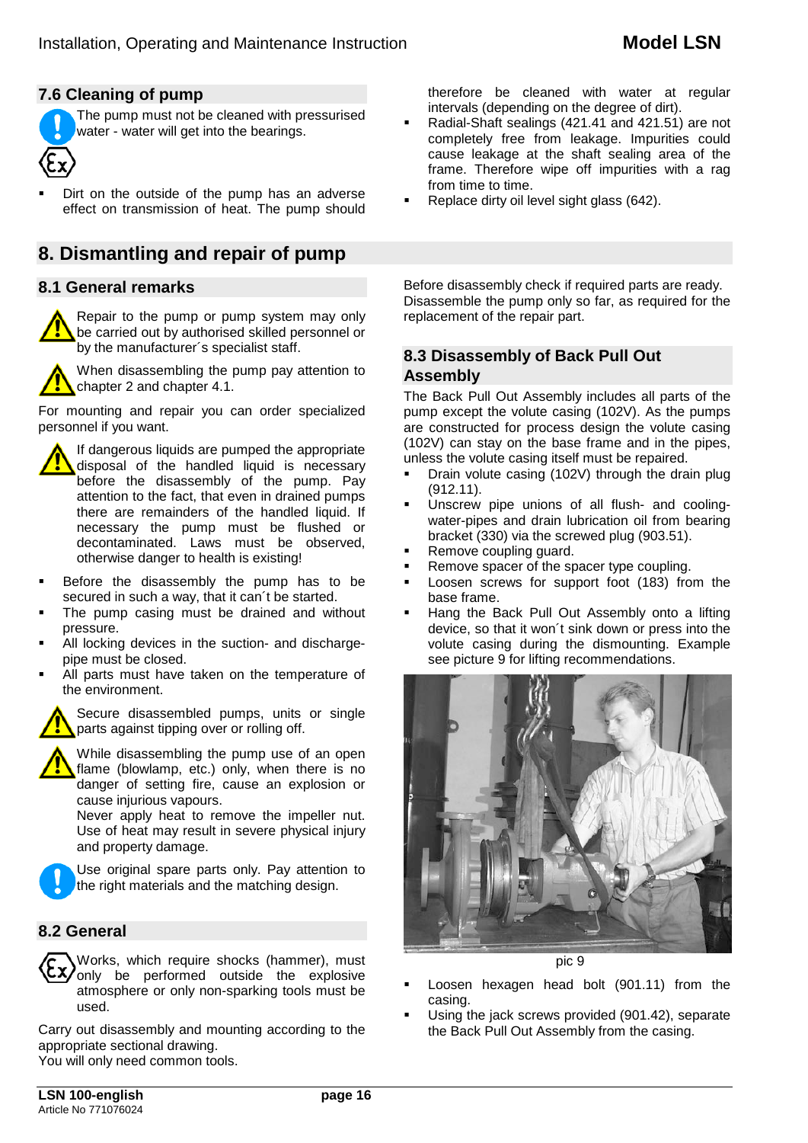## **7.6 Cleaning of pump**

The pump must not be cleaned with pressurised water - water will get into the bearings.

 Dirt on the outside of the pump has an adverse effect on transmission of heat. The pump should

# **8. Dismantling and repair of pump**

## **8.1 General remarks**

Repair to the pump or pump system may only be carried out by authorised skilled personnel or by the manufacturer´s specialist staff.



When disassembling the pump pay attention to chapter 2 and chapter 4.1.

For mounting and repair you can order specialized personnel if you want.



- Before the disassembly the pump has to be secured in such a way, that it can´t be started.
- The pump casing must be drained and without pressure.
- All locking devices in the suction- and dischargepipe must be closed.
- All parts must have taken on the temperature of the environment.

Secure disassembled pumps, units or single parts against tipping over or rolling off.



While disassembling the pump use of an open flame (blowlamp, etc.) only, when there is no danger of setting fire, cause an explosion or cause injurious vapours.

Never apply heat to remove the impeller nut. Use of heat may result in severe physical injury and property damage.



Use original spare parts only. Pay attention to the right materials and the matching design.

## **8.2 General**



Carry out disassembly and mounting according to the appropriate sectional drawing. You will only need common tools.

therefore be cleaned with water at regular intervals (depending on the degree of dirt).

- Radial-Shaft sealings (421.41 and 421.51) are not completely free from leakage. Impurities could cause leakage at the shaft sealing area of the frame. Therefore wipe off impurities with a rag from time to time.
- Replace dirty oil level sight glass (642).

Before disassembly check if required parts are ready. Disassemble the pump only so far, as required for the replacement of the repair part.

## **8.3 Disassembly of Back Pull Out Assembly**

The Back Pull Out Assembly includes all parts of the pump except the volute casing (102V). As the pumps are constructed for process design the volute casing (102V) can stay on the base frame and in the pipes, unless the volute casing itself must be repaired.<br>• Drain volute casing (102V) through the drain

- Drain volute casing (102V) through the drain plug (912.11).
- Unscrew pipe unions of all flush- and coolingwater-pipes and drain lubrication oil from bearing bracket (330) via the screwed plug (903.51).
- Remove coupling guard.
- Remove spacer of the spacer type coupling.
- **Loosen screws for support foot (183) from the** base frame.
- Hang the Back Pull Out Assembly onto a lifting device, so that it won´t sink down or press into the volute casing during the dismounting. Example see picture 9 for lifting recommendations.



pic 9

- Loosen hexagen head bolt (901.11) from the casing.
- Using the jack screws provided (901.42), separate the Back Pull Out Assembly from the casing.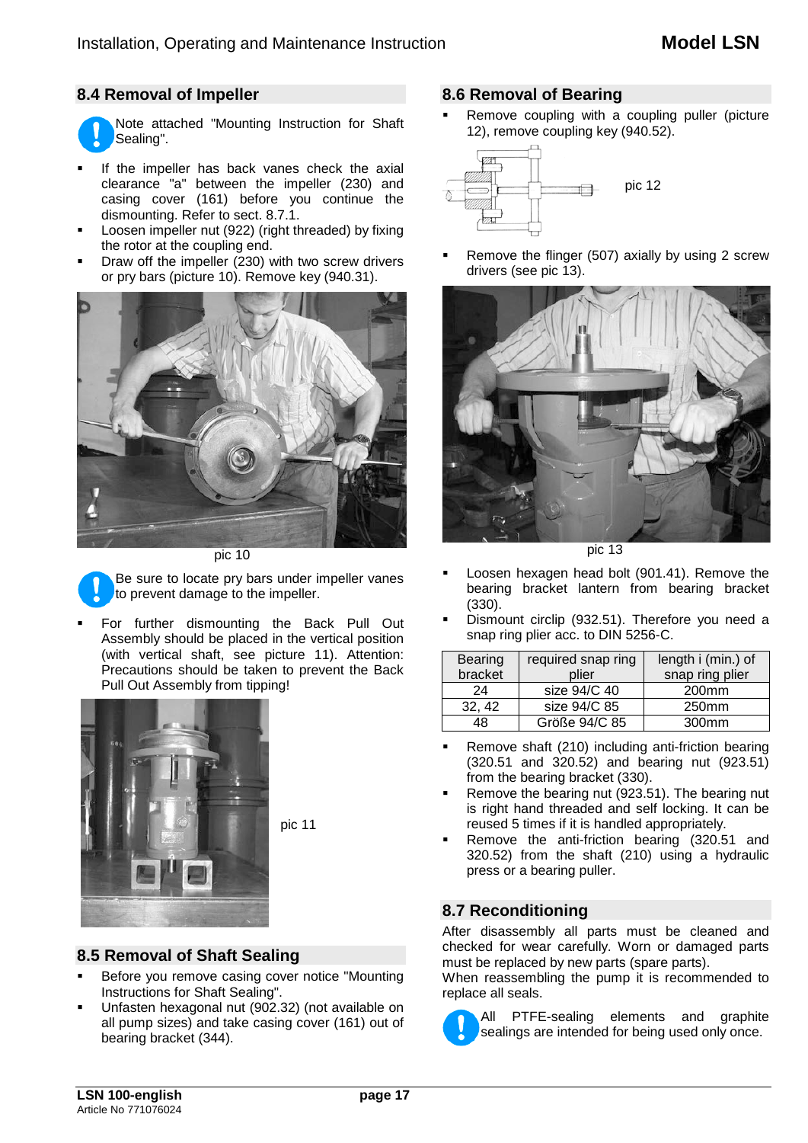## **8.4 Removal of Impeller**



- If the impeller has back vanes check the axial clearance "a" between the impeller (230) and casing cover (161) before you continue the dismounting. Refer to sect. 8.7.1.
- Loosen impeller nut (922) (right threaded) by fixing the rotor at the coupling end.
- Draw off the impeller (230) with two screw drivers or pry bars (picture 10). Remove key (940.31).



pic 10



Be sure to locate pry bars under impeller vanes to prevent damage to the impeller.

 For further dismounting the Back Pull Out Assembly should be placed in the vertical position (with vertical shaft, see picture 11). Attention: Precautions should be taken to prevent the Back Pull Out Assembly from tipping!



pic 11

# **8.5 Removal of Shaft Sealing**

- Before you remove casing cover notice "Mounting Instructions for Shaft Sealing".
- Unfasten hexagonal nut (902.32) (not available on all pump sizes) and take casing cover (161) out of bearing bracket (344).

#### **8.6 Removal of Bearing**

 Remove coupling with a coupling puller (picture 12), remove coupling key (940.52).



 Remove the flinger (507) axially by using 2 screw drivers (see pic 13).



pic 13

- Loosen hexagen head bolt (901.41). Remove the bearing bracket lantern from bearing bracket (330).
- Dismount circlip (932.51). Therefore you need a snap ring plier acc. to DIN 5256-C.

| <b>Bearing</b> | required snap ring | length i (min.) of |  |  |  |
|----------------|--------------------|--------------------|--|--|--|
| bracket        | plier              | snap ring plier    |  |  |  |
| 24             | size 94/C 40       | 200 <sub>mm</sub>  |  |  |  |
| 32, 42         | size 94/C 85       | 250mm              |  |  |  |
| 48             | Größe 94/C 85      | 300 <sub>mm</sub>  |  |  |  |

- Remove shaft (210) including anti-friction bearing (320.51 and 320.52) and bearing nut (923.51) from the bearing bracket (330).
- Remove the bearing nut (923.51). The bearing nut is right hand threaded and self locking. It can be reused 5 times if it is handled appropriately.
- Remove the anti-friction bearing (320.51 and 320.52) from the shaft (210) using a hydraulic press or a bearing puller.

## **8.7 Reconditioning**

After disassembly all parts must be cleaned and checked for wear carefully. Worn or damaged parts must be replaced by new parts (spare parts).

When reassembling the pump it is recommended to replace all seals.

All PTFE-sealing elements and graphite sealings are intended for being used only once.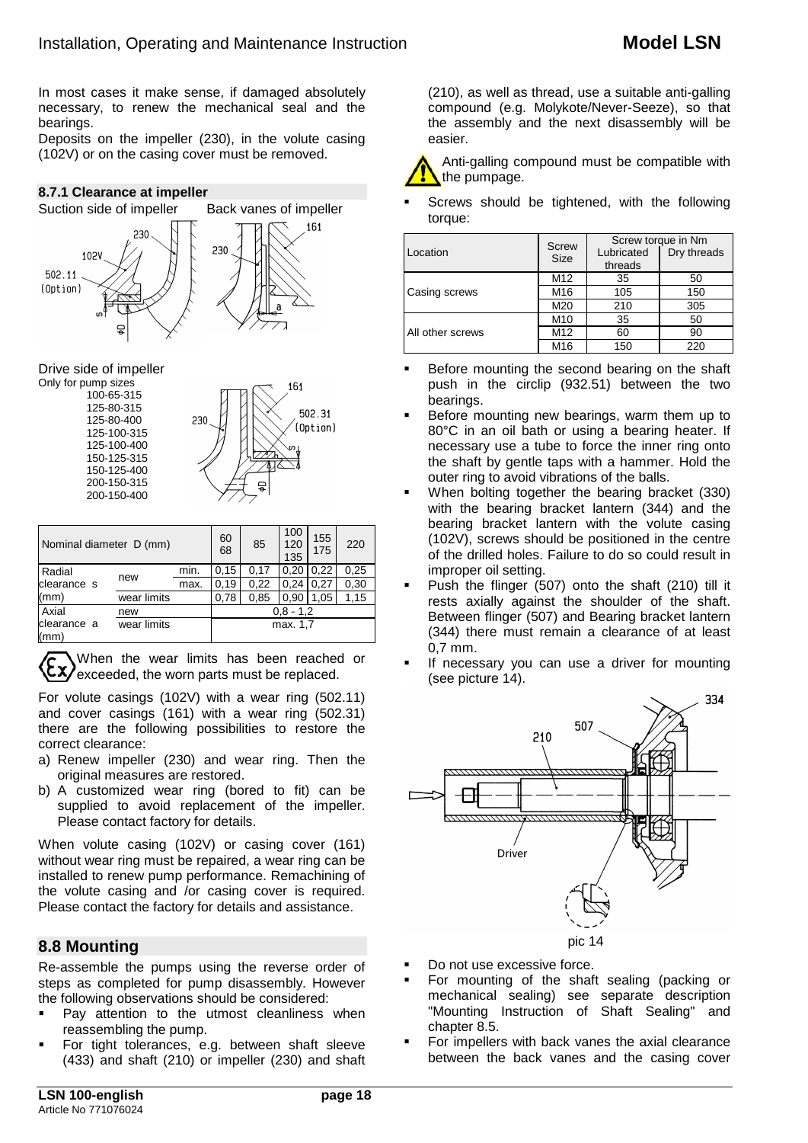In most cases it make sense, if damaged absolutely necessary, to renew the mechanical seal and the bearings.

Deposits on the impeller (230), in the volute casing (102V) or on the casing cover must be removed.

#### **8.7.1 Clearance at impeller**



#### Drive side of impeller

Only for pump sizes 161 100-65-315 125-80-315 502 31 125-80-400 230 Ontion) 125-100-315 125-100-400 150-125-315 150-125-400 200-150-315 200-150-400

| Nominal diameter D (mm) |             | 60<br>68 | 85          | 100<br>120<br>135 | 155<br>175 | 220  |      |  |
|-------------------------|-------------|----------|-------------|-------------------|------------|------|------|--|
| Radial                  | new         | min.     | 0.15        | 0.17              | 0.20       | 0.22 | 0,25 |  |
| clearance s             |             | max.     | 0,19        | 0,22              | 0.24       | 0.27 | 0,30 |  |
| (mm)                    | wear limits |          | 0,78        | 0,85              | 0.90       | 1.05 | 1,15 |  |
| Axial                   | new         |          | $0.8 - 1.2$ |                   |            |      |      |  |
| clearance a<br>(mm)     | wear limits |          | max. 1.7    |                   |            |      |      |  |

When the wear limits has been reached or  $\langle \xi \chi \rangle$  exceeded, the worn parts must be replaced.

For volute casings (102V) with a wear ring (502.11) and cover casings (161) with a wear ring (502.31) there are the following possibilities to restore the correct clearance:

- a) Renew impeller (230) and wear ring. Then the original measures are restored.
- b) A customized wear ring (bored to fit) can be supplied to avoid replacement of the impeller. Please contact factory for details.

When volute casing (102V) or casing cover (161) without wear ring must be repaired, a wear ring can be installed to renew pump performance. Remachining of the volute casing and /or casing cover is required. Please contact the factory for details and assistance.

## **8.8 Mounting**

Re-assemble the pumps using the reverse order of steps as completed for pump disassembly. However the following observations should be considered:

- Pay attention to the utmost cleanliness when reassembling the pump.
- For tight tolerances, e.g. between shaft sleeve (433) and shaft (210) or impeller (230) and shaft

(210), as well as thread, use a suitable anti-galling compound (e.g. Molykote/Never-Seeze), so that the assembly and the next disassembly will be easier.



 Screws should be tightened, with the following torque:

|                  | <b>Screw</b>    | Screw torque in Nm |             |  |  |
|------------------|-----------------|--------------------|-------------|--|--|
| Location         | <b>Size</b>     | Lubricated         | Dry threads |  |  |
|                  |                 | threads            |             |  |  |
|                  | M <sub>12</sub> | 35                 | 50          |  |  |
| Casing screws    | M16             | 105                | 150         |  |  |
|                  | M20             | 210                | 305         |  |  |
|                  | M <sub>10</sub> | 35                 | 50          |  |  |
| All other screws | M12             | 60                 | 90          |  |  |
|                  | M16             | 150                | 220         |  |  |

- **Before mounting the second bearing on the shaft** push in the circlip (932.51) between the two bearings.
- Before mounting new bearings, warm them up to 80°C in an oil bath or using a bearing heater. If necessary use a tube to force the inner ring onto the shaft by gentle taps with a hammer. Hold the outer ring to avoid vibrations of the balls.
- When bolting together the bearing bracket (330) with the bearing bracket lantern (344) and the bearing bracket lantern with the volute casing (102V), screws should be positioned in the centre of the drilled holes. Failure to do so could result in improper oil setting.
- Push the flinger (507) onto the shaft (210) till it rests axially against the shoulder of the shaft. Between flinger (507) and Bearing bracket lantern (344) there must remain a clearance of at least 0,7 mm.
- If necessary you can use a driver for mounting (see picture 14).



- Do not use excessive force.
- For mounting of the shaft sealing (packing or mechanical sealing) see separate description "Mounting Instruction of Shaft Sealing" and chapter 8.5.
- For impellers with back vanes the axial clearance between the back vanes and the casing cover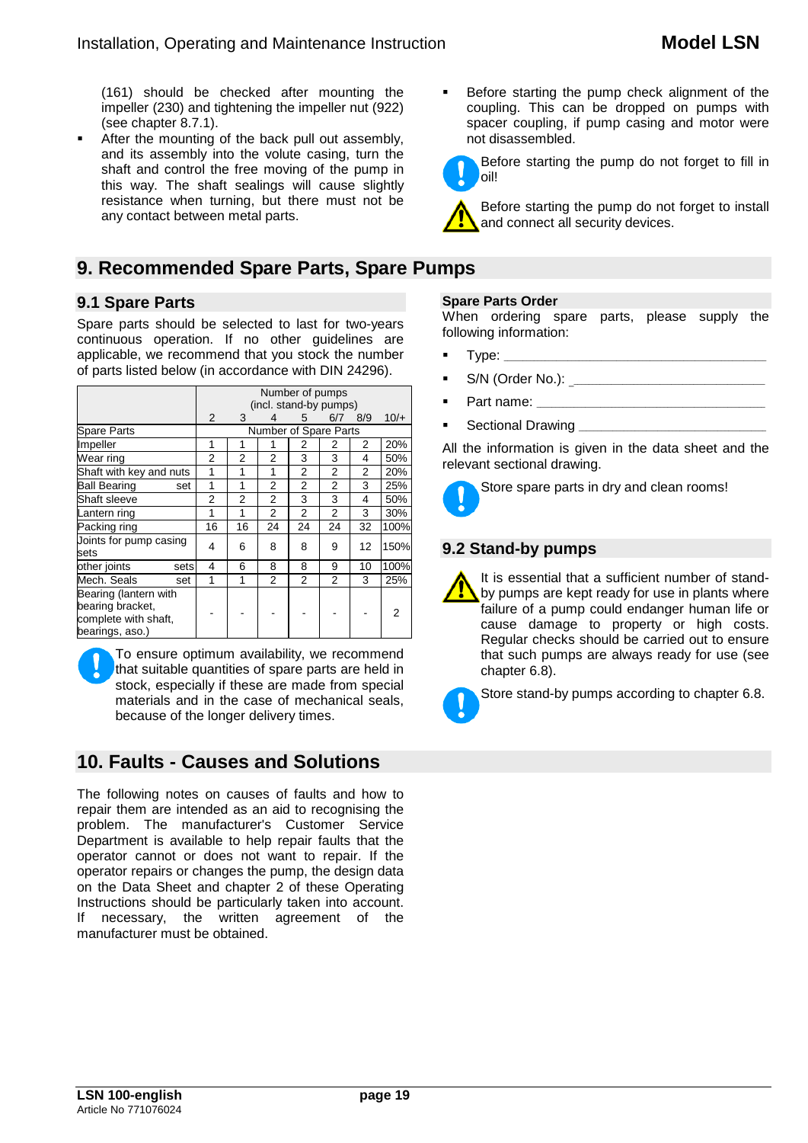(161) should be checked after mounting the impeller (230) and tightening the impeller nut (922) (see chapter 8.7.1).

 After the mounting of the back pull out assembly, and its assembly into the volute casing, turn the shaft and control the free moving of the pump in this way. The shaft sealings will cause slightly resistance when turning, but there must not be any contact between metal parts.

# **9. Recommended Spare Parts, Spare Pumps**

## **9.1 Spare Parts**

Spare parts should be selected to last for two-years continuous operation. If no other guidelines are applicable, we recommend that you stock the number of parts listed below (in accordance with DIN 24296).

|                                                                                      | Number of pumps        |    |                |                |                |     |        |
|--------------------------------------------------------------------------------------|------------------------|----|----------------|----------------|----------------|-----|--------|
|                                                                                      | (incl. stand-by pumps) |    |                |                |                |     |        |
|                                                                                      | 2                      | 3  | 4              | 5              | 6/7            | 8/9 | $10/+$ |
| <b>Spare Parts</b>                                                                   | Number of Spare Parts  |    |                |                |                |     |        |
| Impeller                                                                             | 1                      |    |                | 2              | 2              | 2   | 20%    |
| Wear ring                                                                            | 2                      | 2  | 2              | 3              | 3              | 4   | 50%    |
| Shaft with key and nuts                                                              | 1                      | 1  | 1              | $\overline{2}$ | $\overline{2}$ | 2   | 20%    |
| <b>Ball Bearing</b><br>set                                                           | 1                      | 1  | 2              | 2              | 2              | 3   | 25%    |
| Shaft sleeve                                                                         | 2                      | 2  | 2              | 3              | 3              | 4   | 50%    |
| Lantern ring                                                                         | 1                      | 1  | 2              | $\overline{2}$ | $\overline{2}$ | 3   | 30%    |
| Packing ring                                                                         | 16                     | 16 | 24             | 24             | 24             | 32  | 100%   |
| Joints for pump casing<br>sets                                                       | 4                      | 6  | 8              | 8              | 9              | 12  | 150%   |
| other joints<br>sets                                                                 | 4                      | 6  | 8              | 8              | 9              | 10  | 100%   |
| Mech. Seals<br>set                                                                   | 1                      | 1  | $\overline{2}$ | 2              | $\overline{2}$ | 3   | 25%    |
| Bearing (lantern with<br>bearing bracket,<br>complete with shaft,<br>bearings, aso.) |                        |    |                |                |                |     | 2      |

To ensure optimum availability, we recommend that suitable quantities of spare parts are held in stock, especially if these are made from special materials and in the case of mechanical seals, because of the longer delivery times.

# **10. Faults - Causes and Solutions**

The following notes on causes of faults and how to repair them are intended as an aid to recognising the problem. The manufacturer's Customer Service Department is available to help repair faults that the operator cannot or does not want to repair. If the operator repairs or changes the pump, the design data on the Data Sheet and chapter 2 of these Operating Instructions should be particularly taken into account. If necessary, the written agreement of the manufacturer must be obtained.

 Before starting the pump check alignment of the coupling. This can be dropped on pumps with spacer coupling, if pump casing and motor were not disassembled.

Before starting the pump do not forget to fill in oil!

Before starting the pump do not forget to install and connect all security devices.

#### **Spare Parts Order**

When ordering spare parts, please supply the following information:

- Type:
- S/N (Order No.): \_\_\_\_\_\_\_\_\_\_\_\_\_\_\_\_\_\_\_\_\_\_\_\_\_\_\_\_\_\_\_\_\_\_\_\_\_\_\_\_\_\_\_\_\_\_\_\_\_\_\_\_
- Part name:
- Sectional Drawing

All the information is given in the data sheet and the relevant sectional drawing.



Store spare parts in dry and clean rooms!

## **9.2 Stand-by pumps**

It is essential that a sufficient number of standby pumps are kept ready for use in plants where failure of a pump could endanger human life or cause damage to property or high costs. Regular checks should be carried out to ensure that such pumps are always ready for use (see chapter 6.8).



Store stand-by pumps according to chapter 6.8.